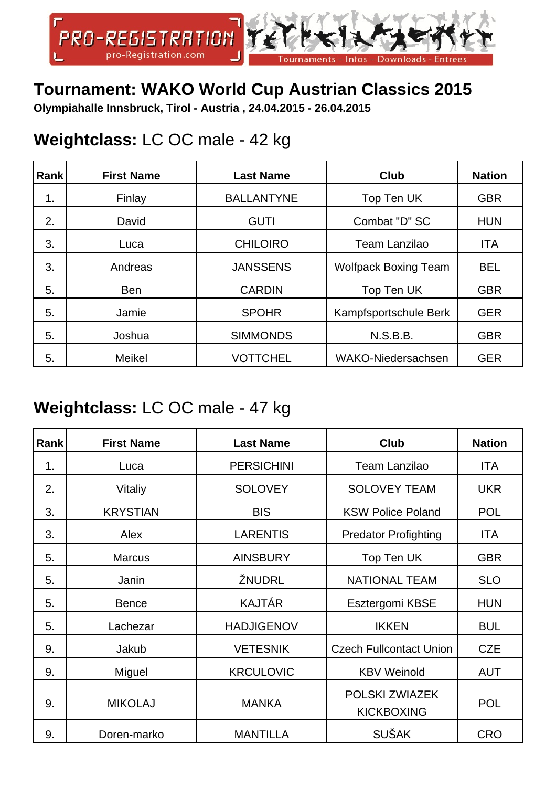

#### **Tournament: WAKO World Cup Austrian Classics 2015**

**Olympiahalle Innsbruck, Tirol - Austria , 24.04.2015 - 26.04.2015**

#### **Weightclass:** LC OC male - 42 kg

| <b>Rank</b> | <b>First Name</b> | <b>Last Name</b>  | <b>Club</b>                 | <b>Nation</b> |
|-------------|-------------------|-------------------|-----------------------------|---------------|
| 1.          | Finlay            | <b>BALLANTYNE</b> | Top Ten UK                  | <b>GBR</b>    |
| 2.          | David             | <b>GUTI</b>       | Combat "D" SC               | <b>HUN</b>    |
| 3.          | Luca              | <b>CHILOIRO</b>   | <b>Team Lanzilao</b>        | <b>ITA</b>    |
| 3.          | Andreas           | <b>JANSSENS</b>   | <b>Wolfpack Boxing Team</b> | <b>BEL</b>    |
| 5.          | <b>Ben</b>        | <b>CARDIN</b>     | Top Ten UK                  | <b>GBR</b>    |
| 5.          | Jamie             | <b>SPOHR</b>      | Kampfsportschule Berk       | <b>GER</b>    |
| 5.          | Joshua            | <b>SIMMONDS</b>   | <b>N.S.B.B.</b>             | <b>GBR</b>    |
| 5.          | <b>Meikel</b>     | <b>VOTTCHEL</b>   | WAKO-Niedersachsen          | <b>GER</b>    |

#### **Weightclass:** LC OC male - 47 kg

| Rank | <b>First Name</b> | <b>Last Name</b>  | <b>Club</b>                         | <b>Nation</b> |
|------|-------------------|-------------------|-------------------------------------|---------------|
| 1.   | Luca              | <b>PERSICHINI</b> | <b>Team Lanzilao</b>                | <b>ITA</b>    |
| 2.   | Vitaliy           | <b>SOLOVEY</b>    | <b>SOLOVEY TEAM</b>                 | <b>UKR</b>    |
| 3.   | <b>KRYSTIAN</b>   | <b>BIS</b>        | <b>KSW Police Poland</b>            | <b>POL</b>    |
| 3.   | Alex              | <b>LARENTIS</b>   | <b>Predator Profighting</b>         | <b>ITA</b>    |
| 5.   | <b>Marcus</b>     | <b>AINSBURY</b>   | Top Ten UK                          | <b>GBR</b>    |
| 5.   | Janin             | ŽNUDRL            | <b>NATIONAL TEAM</b>                | <b>SLO</b>    |
| 5.   | <b>Bence</b>      | <b>KAJTÁR</b>     | Esztergomi KBSE                     | <b>HUN</b>    |
| 5.   | Lachezar          | <b>HADJIGENOV</b> | <b>IKKEN</b>                        | <b>BUL</b>    |
| 9.   | Jakub             | <b>VETESNIK</b>   | <b>Czech Fullcontact Union</b>      | <b>CZE</b>    |
| 9.   | Miguel            | <b>KRCULOVIC</b>  | <b>KBV Weinold</b>                  | <b>AUT</b>    |
| 9.   | <b>MIKOLAJ</b>    | <b>MANKA</b>      | POLSKI ZWIAZEK<br><b>KICKBOXING</b> | <b>POL</b>    |
| 9.   | Doren-marko       | <b>MANTILLA</b>   | <b>SUŠAK</b>                        | <b>CRO</b>    |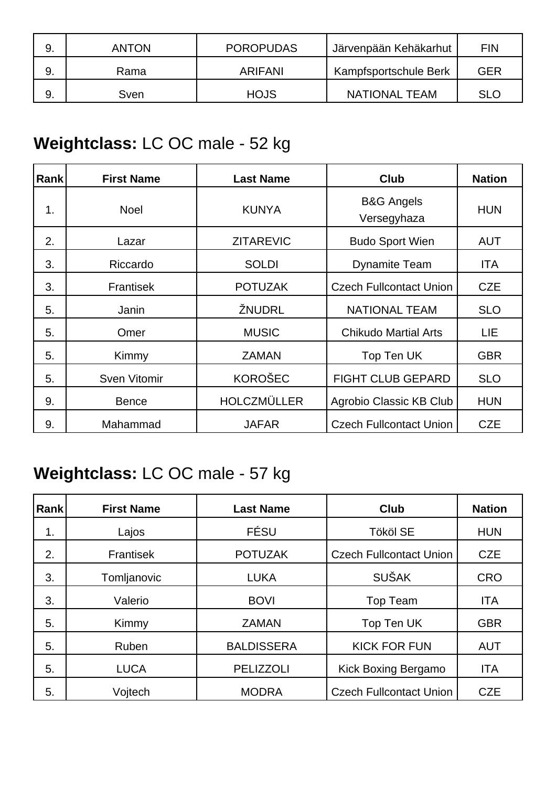|    | <b>ANTON</b> | <b>POROPUDAS</b> | Järvenpään Kehäkarhut | <b>FIN</b> |
|----|--------------|------------------|-----------------------|------------|
|    | Rama         | ARIFANI          | Kampfsportschule Berk | GER        |
| 9. | Sven         | <b>HOJS</b>      | NATIONAL TEAM         | <b>SLC</b> |

### **Weightclass:** LC OC male - 52 kg

| Rank | <b>First Name</b>   | <b>Last Name</b>   | <b>Club</b>                          | <b>Nation</b> |
|------|---------------------|--------------------|--------------------------------------|---------------|
| 1.   | <b>Noel</b>         | <b>KUNYA</b>       | <b>B&amp;G Angels</b><br>Versegyhaza | <b>HUN</b>    |
| 2.   | Lazar               | <b>ZITAREVIC</b>   | <b>Budo Sport Wien</b>               | AUT           |
| 3.   | Riccardo            | <b>SOLDI</b>       | <b>Dynamite Team</b>                 | ITA           |
| 3.   | Frantisek           | <b>POTUZAK</b>     | <b>Czech Fullcontact Union</b>       | <b>CZE</b>    |
| 5.   | Janin               | ŽNUDRL             | <b>NATIONAL TEAM</b>                 | <b>SLO</b>    |
| 5.   | Omer                | <b>MUSIC</b>       | <b>Chikudo Martial Arts</b>          | LIE           |
| 5.   | Kimmy               | <b>ZAMAN</b>       | Top Ten UK                           | <b>GBR</b>    |
| 5.   | <b>Sven Vitomir</b> | <b>KOROŠEC</b>     | <b>FIGHT CLUB GEPARD</b>             | <b>SLO</b>    |
| 9.   | <b>Bence</b>        | <b>HOLCZMÜLLER</b> | Agrobio Classic KB Club              | <b>HUN</b>    |
| 9.   | Mahammad            | <b>JAFAR</b>       | <b>Czech Fullcontact Union</b>       | <b>CZE</b>    |

# **Weightclass:** LC OC male - 57 kg

| Rank | <b>First Name</b> | <b>Last Name</b>  | <b>Club</b>                    | <b>Nation</b> |
|------|-------------------|-------------------|--------------------------------|---------------|
| 1.   | Lajos             | FÉSU              | <b>Tököl SE</b>                | <b>HUN</b>    |
| 2.   | Frantisek         | <b>POTUZAK</b>    | <b>Czech Fullcontact Union</b> | <b>CZE</b>    |
| 3.   | Tomljanovic       | <b>LUKA</b>       | <b>SUŠAK</b>                   | <b>CRO</b>    |
| 3.   | Valerio           | <b>BOVI</b>       | Top Team                       | <b>ITA</b>    |
| 5.   | Kimmy             | <b>ZAMAN</b>      | Top Ten UK                     | <b>GBR</b>    |
| 5.   | Ruben             | <b>BALDISSERA</b> | <b>KICK FOR FUN</b>            | <b>AUT</b>    |
| 5.   | <b>LUCA</b>       | <b>PELIZZOLI</b>  | Kick Boxing Bergamo            | <b>ITA</b>    |
| 5.   | Voitech           | <b>MODRA</b>      | <b>Czech Fullcontact Union</b> | <b>CZE</b>    |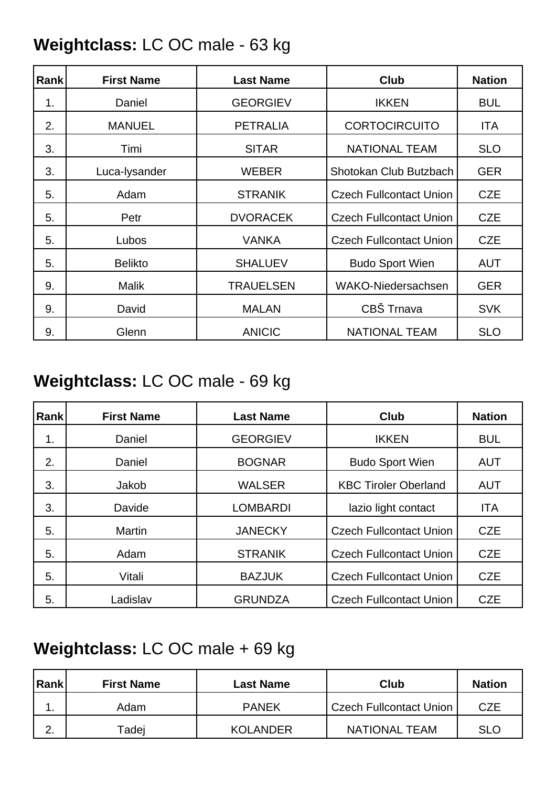### **Weightclass:** LC OC male - 63 kg

| Rank | <b>First Name</b> | <b>Last Name</b> | <b>Club</b>                    | <b>Nation</b> |
|------|-------------------|------------------|--------------------------------|---------------|
| 1.   | Daniel            | <b>GEORGIEV</b>  | <b>IKKEN</b>                   | <b>BUL</b>    |
| 2.   | <b>MANUEL</b>     | <b>PETRALIA</b>  | <b>CORTOCIRCUITO</b>           | <b>ITA</b>    |
| 3.   | Timi              | <b>SITAR</b>     | <b>NATIONAL TEAM</b>           | <b>SLO</b>    |
| 3.   | Luca-lysander     | <b>WEBER</b>     | Shotokan Club Butzbach         | <b>GER</b>    |
| 5.   | Adam              | <b>STRANIK</b>   | <b>Czech Fullcontact Union</b> | <b>CZE</b>    |
| 5.   | Petr              | <b>DVORACEK</b>  | <b>Czech Fullcontact Union</b> | <b>CZE</b>    |
| 5.   | Lubos             | <b>VANKA</b>     | <b>Czech Fullcontact Union</b> | <b>CZE</b>    |
| 5.   | <b>Belikto</b>    | <b>SHALUEV</b>   | <b>Budo Sport Wien</b>         | <b>AUT</b>    |
| 9.   | <b>Malik</b>      | <b>TRAUELSEN</b> | <b>WAKO-Niedersachsen</b>      | <b>GER</b>    |
| 9.   | David             | <b>MALAN</b>     | CBŠ Trnava                     | <b>SVK</b>    |
| 9.   | Glenn             | <b>ANICIC</b>    | <b>NATIONAL TEAM</b>           | <b>SLO</b>    |

#### **Weightclass:** LC OC male - 69 kg

| Rank | <b>First Name</b> | <b>Last Name</b> | <b>Club</b>                    | <b>Nation</b> |
|------|-------------------|------------------|--------------------------------|---------------|
| 1.   | Daniel            | <b>GEORGIEV</b>  | <b>IKKEN</b>                   | <b>BUL</b>    |
| 2.   | Daniel            | <b>BOGNAR</b>    | <b>Budo Sport Wien</b>         | <b>AUT</b>    |
| 3.   | Jakob             | <b>WALSER</b>    | <b>KBC Tiroler Oberland</b>    | <b>AUT</b>    |
| 3.   | Davide            | <b>LOMBARDI</b>  | lazio light contact            | <b>ITA</b>    |
| 5.   | Martin            | <b>JANECKY</b>   | <b>Czech Fullcontact Union</b> | <b>CZE</b>    |
| 5.   | Adam              | <b>STRANIK</b>   | <b>Czech Fullcontact Union</b> | <b>CZE</b>    |
| 5.   | Vitali            | <b>BAZJUK</b>    | <b>Czech Fullcontact Union</b> | <b>CZE</b>    |
| 5.   | Ladislav          | <b>GRUNDZA</b>   | <b>Czech Fullcontact Union</b> | <b>CZE</b>    |

#### **Weightclass:** LC OC male + 69 kg

| Rank | <b>First Name</b> | Last Name       | Club                    | <b>Nation</b> |
|------|-------------------|-----------------|-------------------------|---------------|
| . .  | Adam              | <b>PANEK</b>    | Czech Fullcontact Union | <b>CZE</b>    |
| ົ    | Tadej             | <b>KOLANDER</b> | <b>NATIONAL TEAM</b>    | <b>SLO</b>    |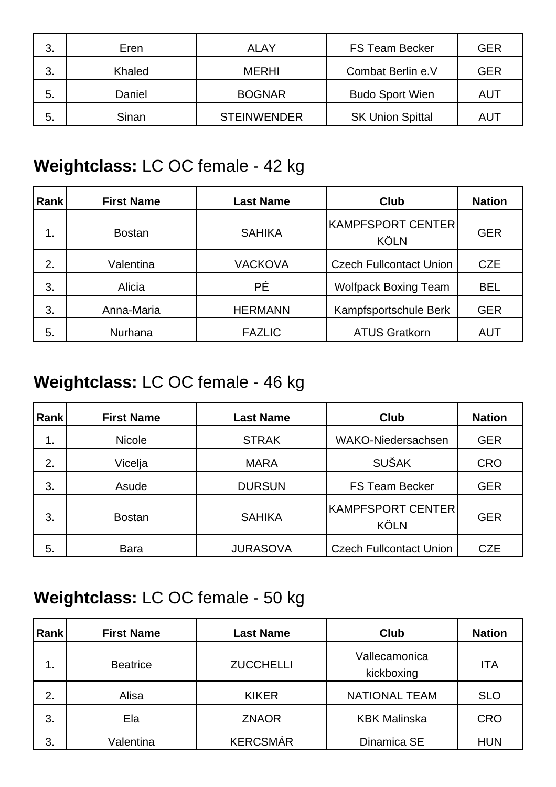| 3. | Eren   | <b>ALAY</b>        | <b>FS Team Becker</b>   | <b>GER</b> |
|----|--------|--------------------|-------------------------|------------|
| 3. | Khaled | <b>MERHI</b>       | Combat Berlin e.V       | <b>GER</b> |
| 5. | Daniel | <b>BOGNAR</b>      | <b>Budo Sport Wien</b>  | AUT        |
| 5. | Sinan  | <b>STEINWENDER</b> | <b>SK Union Spittal</b> | AUT        |

### **Weightclass:** LC OC female - 42 kg

| Rank | <b>First Name</b> | <b>Last Name</b> | Club                             | <b>Nation</b> |
|------|-------------------|------------------|----------------------------------|---------------|
| 1.   | <b>Bostan</b>     | <b>SAHIKA</b>    | KAMPFSPORT CENTER<br><b>KÖLN</b> | <b>GER</b>    |
| 2.   | Valentina         | <b>VACKOVA</b>   | <b>Czech Fullcontact Union</b>   | <b>CZE</b>    |
| 3.   | Alicia            | <b>PÉ</b>        | <b>Wolfpack Boxing Team</b>      | <b>BEL</b>    |
| 3.   | Anna-Maria        | <b>HERMANN</b>   | Kampfsportschule Berk            | <b>GER</b>    |
| 5.   | Nurhana           | <b>FAZLIC</b>    | <b>ATUS Gratkorn</b>             | <b>AUT</b>    |

#### **Weightclass:** LC OC female - 46 kg

| <b>Rank</b> | <b>First Name</b> | <b>Last Name</b> | <b>Club</b>                      | <b>Nation</b> |
|-------------|-------------------|------------------|----------------------------------|---------------|
| 1.          | <b>Nicole</b>     | <b>STRAK</b>     | WAKO-Niedersachsen               | <b>GER</b>    |
| 2.          | Vicelja           | <b>MARA</b>      | <b>SUŠAK</b>                     | <b>CRO</b>    |
| 3.          | Asude             | <b>DURSUN</b>    | <b>FS Team Becker</b>            | <b>GER</b>    |
| 3.          | <b>Bostan</b>     | <b>SAHIKA</b>    | KAMPFSPORT CENTER<br><b>KÖLN</b> | <b>GER</b>    |
| 5.          | <b>Bara</b>       | <b>JURASOVA</b>  | <b>Czech Fullcontact Union</b>   | <b>CZE</b>    |

### **Weightclass:** LC OC female - 50 kg

| Rank | <b>First Name</b> | <b>Last Name</b> | Club                        | <b>Nation</b> |
|------|-------------------|------------------|-----------------------------|---------------|
| 1.   | <b>Beatrice</b>   | <b>ZUCCHELLI</b> | Vallecamonica<br>kickboxing | <b>ITA</b>    |
| 2.   | Alisa             | <b>KIKER</b>     | <b>NATIONAL TEAM</b>        | <b>SLO</b>    |
| 3.   | Ela               | <b>ZNAOR</b>     | <b>KBK Malinska</b>         | <b>CRO</b>    |
| 3.   | Valentina         | <b>KERCSMÁR</b>  | Dinamica SE                 | <b>HUN</b>    |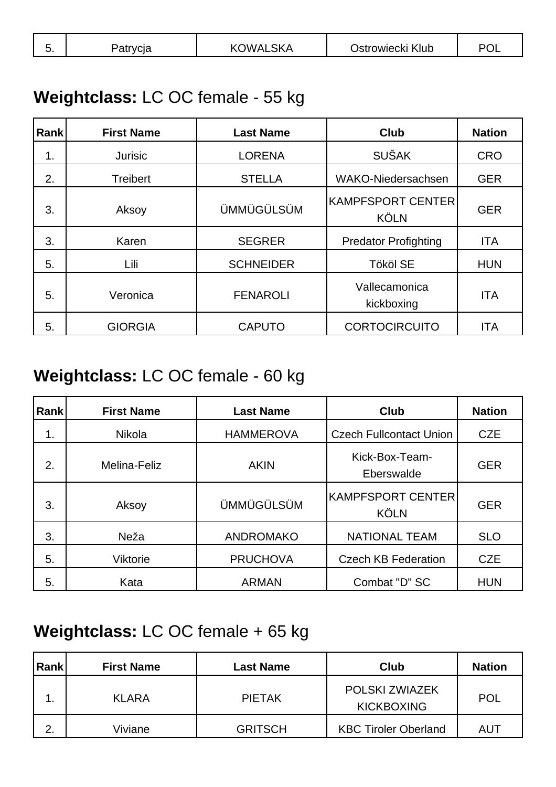| ັ. | vud<br>αιι | <b>\LSKA</b><br>OWAL<br>ΚI<br>◡ | Ostrowiecki Klub | DC |
|----|------------|---------------------------------|------------------|----|
|----|------------|---------------------------------|------------------|----|

#### **Weightclass:** LC OC female - 55 kg

| Rank | <b>First Name</b> | <b>Last Name</b>  | <b>Club</b>                      | <b>Nation</b> |
|------|-------------------|-------------------|----------------------------------|---------------|
| 1.   | <b>Jurisic</b>    | <b>LORENA</b>     | <b>SUŠAK</b>                     | <b>CRO</b>    |
| 2.   | <b>Treibert</b>   | <b>STELLA</b>     | <b>WAKO-Niedersachsen</b>        | <b>GER</b>    |
| 3.   | Aksoy             | <b>ÜMMÜGÜLSÜM</b> | KAMPFSPORT CENTER<br><b>KÖLN</b> | <b>GER</b>    |
| 3.   | Karen             | <b>SEGRER</b>     | <b>Predator Profighting</b>      | <b>ITA</b>    |
| 5.   | Lili              | <b>SCHNEIDER</b>  | <b>Tököl SE</b>                  | <b>HUN</b>    |
| 5.   | Veronica          | <b>FENAROLI</b>   | Vallecamonica<br>kickboxing      | <b>ITA</b>    |
| 5.   | <b>GIORGIA</b>    | <b>CAPUTO</b>     | <b>CORTOCIRCUITO</b>             | <b>ITA</b>    |

### **Weightclass:** LC OC female - 60 kg

| Rank | <b>First Name</b> | <b>Last Name</b>  | Club                              | <b>Nation</b> |
|------|-------------------|-------------------|-----------------------------------|---------------|
| 1.   | Nikola            | <b>HAMMEROVA</b>  | <b>Czech Fullcontact Union</b>    | <b>CZE</b>    |
| 2.   | Melina-Feliz      | <b>AKIN</b>       | Kick-Box-Team-<br>Eberswalde      | <b>GER</b>    |
| 3.   | Aksoy             | <b>ÜMMÜGÜLSÜM</b> | KAMPFSPORT CENTER <br><b>KÖLN</b> | <b>GER</b>    |
| 3.   | Neža              | <b>ANDROMAKO</b>  | <b>NATIONAL TEAM</b>              | <b>SLO</b>    |
| 5.   | <b>Viktorie</b>   | <b>PRUCHOVA</b>   | <b>Czech KB Federation</b>        | <b>CZE</b>    |
| 5.   | Kata              | <b>ARMAN</b>      | Combat "D" SC                     | <b>HUN</b>    |

#### **Weightclass:** LC OC female + 65 kg

| Rank | <b>First Name</b> | <b>Last Name</b> | Club                                       | <b>Nation</b> |
|------|-------------------|------------------|--------------------------------------------|---------------|
|      | <b>KLARA</b>      | <b>PIETAK</b>    | <b>POLSKI ZWIAZEK</b><br><b>KICKBOXING</b> | <b>POL</b>    |
| ⌒    | Viviane           | <b>GRITSCH</b>   | <b>KBC Tiroler Oberland</b>                | AUT           |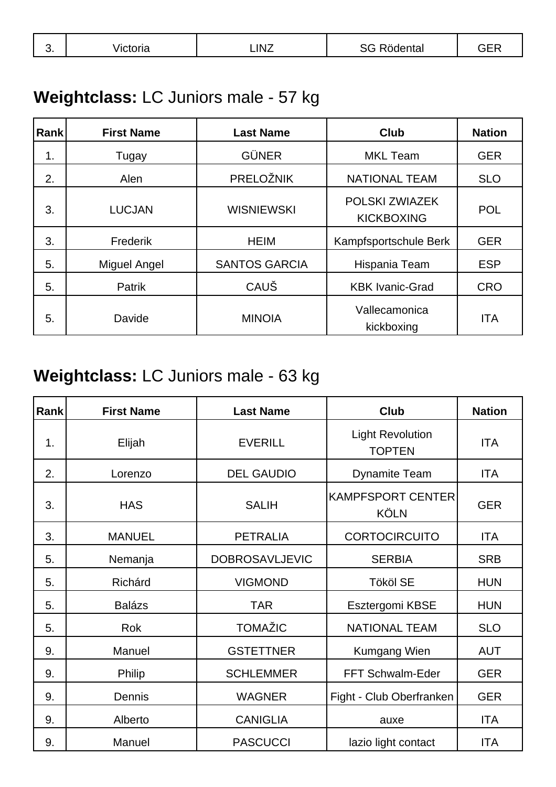| v. | <br>$-$<br>. | $\sim$<br>ΙN | <br>. .<br>ີເພ<br>. |  |
|----|--------------|--------------|---------------------|--|
|    |              |              |                     |  |

# **Weightclass:** LC Juniors male - 57 kg

| Rank | <b>First Name</b>   | <b>Last Name</b>     | <b>Club</b>                         | <b>Nation</b> |
|------|---------------------|----------------------|-------------------------------------|---------------|
| 1.   | Tugay               | <b>GÜNER</b>         | <b>MKL Team</b>                     | <b>GER</b>    |
| 2.   | Alen                | <b>PRELOŽNIK</b>     | <b>NATIONAL TEAM</b>                | <b>SLO</b>    |
| 3.   | <b>LUCJAN</b>       | <b>WISNIEWSKI</b>    | POLSKI ZWIAZEK<br><b>KICKBOXING</b> | <b>POL</b>    |
| 3.   | Frederik            | <b>HEIM</b>          | Kampfsportschule Berk               | <b>GER</b>    |
| 5.   | <b>Miguel Angel</b> | <b>SANTOS GARCIA</b> | Hispania Team                       | <b>ESP</b>    |
| 5.   | Patrik              | CAUŠ                 | <b>KBK Ivanic-Grad</b>              | <b>CRO</b>    |
| 5.   | Davide              | <b>MINOIA</b>        | Vallecamonica<br>kickboxing         | <b>ITA</b>    |

### **Weightclass:** LC Juniors male - 63 kg

| Rank | <b>First Name</b> | <b>Last Name</b>      | Club                                     | <b>Nation</b> |
|------|-------------------|-----------------------|------------------------------------------|---------------|
| 1.   | Elijah            | <b>EVERILL</b>        | <b>Light Revolution</b><br><b>TOPTEN</b> | <b>ITA</b>    |
| 2.   | Lorenzo           | <b>DEL GAUDIO</b>     | <b>Dynamite Team</b>                     | <b>ITA</b>    |
| 3.   | <b>HAS</b>        | <b>SALIH</b>          | <b>KAMPFSPORT CENTER</b><br><b>KÖLN</b>  | <b>GER</b>    |
| 3.   | <b>MANUEL</b>     | <b>PETRALIA</b>       | <b>CORTOCIRCUITO</b>                     | <b>ITA</b>    |
| 5.   | Nemanja           | <b>DOBROSAVLJEVIC</b> | <b>SERBIA</b>                            | <b>SRB</b>    |
| 5.   | Richárd           | <b>VIGMOND</b>        | <b>Tököl SE</b>                          | <b>HUN</b>    |
| 5.   | <b>Balázs</b>     | <b>TAR</b>            | Esztergomi KBSE                          | <b>HUN</b>    |
| 5.   | Rok               | <b>TOMAŽIC</b>        | <b>NATIONAL TEAM</b>                     | <b>SLO</b>    |
| 9.   | Manuel            | <b>GSTETTNER</b>      | Kumgang Wien                             | <b>AUT</b>    |
| 9.   | Philip            | <b>SCHLEMMER</b>      | FFT Schwalm-Eder                         | <b>GER</b>    |
| 9.   | Dennis            | <b>WAGNER</b>         | Fight - Club Oberfranken                 | <b>GER</b>    |
| 9.   | Alberto           | <b>CANIGLIA</b>       | auxe                                     | <b>ITA</b>    |
| 9.   | Manuel            | <b>PASCUCCI</b>       | lazio light contact                      | <b>ITA</b>    |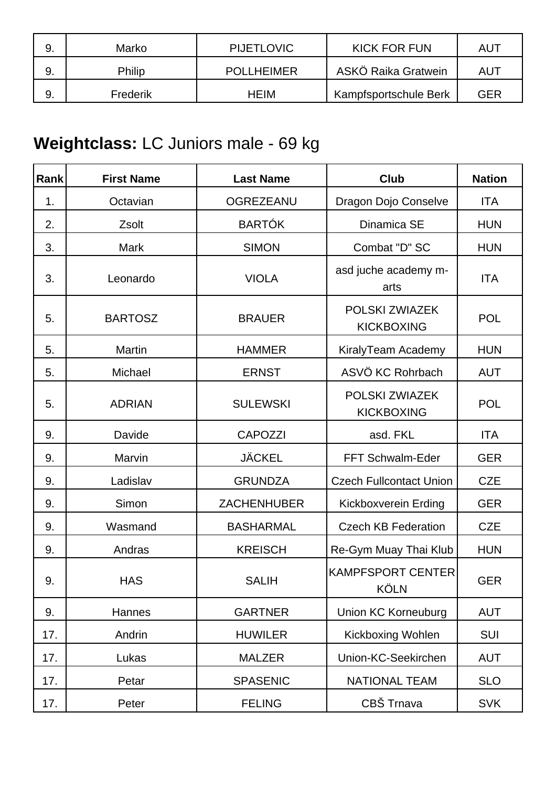|    | Marko    | <b>PIJETLOVIC</b> | <b>KICK FOR FUN</b>   | AU1 |
|----|----------|-------------------|-----------------------|-----|
|    | Philip   | <b>POLLHEIMER</b> | ASKÖ Raika Gratwein   | AU1 |
| 9. | Frederik | <b>HEIM</b>       | Kampfsportschule Berk | GER |

# **Weightclass:** LC Juniors male - 69 kg

| Rank | <b>First Name</b> | <b>Last Name</b>   | <b>Club</b>                                | <b>Nation</b> |
|------|-------------------|--------------------|--------------------------------------------|---------------|
| 1.   | Octavian          | OGREZEANU          | Dragon Dojo Conselve                       | <b>ITA</b>    |
| 2.   | Zsolt             | <b>BARTÓK</b>      | Dinamica SE                                | <b>HUN</b>    |
| 3.   | <b>Mark</b>       | <b>SIMON</b>       | Combat "D" SC                              | <b>HUN</b>    |
| 3.   | Leonardo          | <b>VIOLA</b>       | asd juche academy m-<br>arts               | <b>ITA</b>    |
| 5.   | <b>BARTOSZ</b>    | <b>BRAUER</b>      | POLSKI ZWIAZEK<br><b>KICKBOXING</b>        | <b>POL</b>    |
| 5.   | <b>Martin</b>     | <b>HAMMER</b>      | KiralyTeam Academy                         | <b>HUN</b>    |
| 5.   | Michael           | <b>ERNST</b>       | ASVÖ KC Rohrbach                           | <b>AUT</b>    |
| 5.   | <b>ADRIAN</b>     | <b>SULEWSKI</b>    | <b>POLSKI ZWIAZEK</b><br><b>KICKBOXING</b> | <b>POL</b>    |
| 9.   | Davide            | <b>CAPOZZI</b>     | asd. FKL                                   | <b>ITA</b>    |
| 9.   | Marvin            | <b>JÄCKEL</b>      | FFT Schwalm-Eder                           | <b>GER</b>    |
| 9.   | Ladislav          | <b>GRUNDZA</b>     | <b>Czech Fullcontact Union</b>             | <b>CZE</b>    |
| 9.   | Simon             | <b>ZACHENHUBER</b> | Kickboxverein Erding                       | <b>GER</b>    |
| 9.   | Wasmand           | <b>BASHARMAL</b>   | <b>Czech KB Federation</b>                 | <b>CZE</b>    |
| 9.   | Andras            | <b>KREISCH</b>     | Re-Gym Muay Thai Klub                      | <b>HUN</b>    |
| 9.   | <b>HAS</b>        | <b>SALIH</b>       | <b>KAMPFSPORT CENTER</b><br><b>KÖLN</b>    | <b>GER</b>    |
| 9.   | Hannes            | <b>GARTNER</b>     | <b>Union KC Korneuburg</b>                 | <b>AUT</b>    |
| 17.  | Andrin            | <b>HUWILER</b>     | Kickboxing Wohlen                          | SUI           |
| 17.  | Lukas             | <b>MALZER</b>      | Union-KC-Seekirchen                        | <b>AUT</b>    |
| 17.  | Petar             | <b>SPASENIC</b>    | <b>NATIONAL TEAM</b>                       | <b>SLO</b>    |
| 17.  | Peter             | <b>FELING</b>      | CBŠ Trnava                                 | <b>SVK</b>    |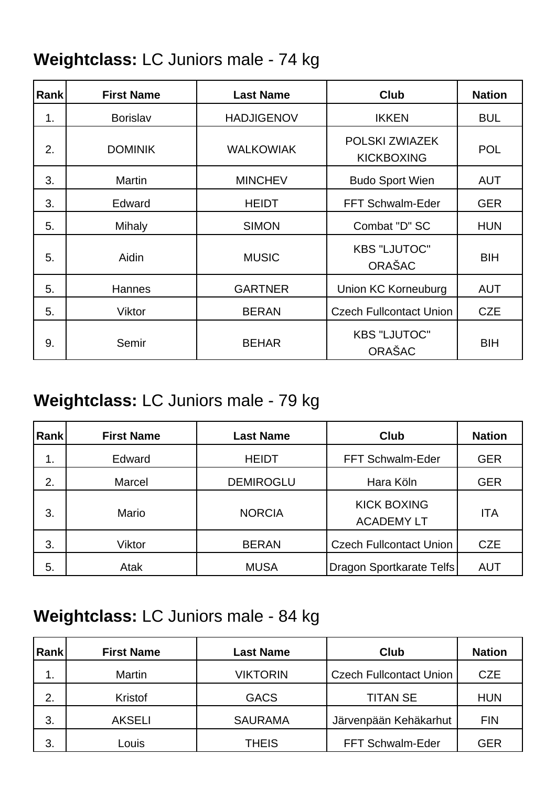#### **Weightclass:** LC Juniors male - 74 kg

| <b>Rank</b> | <b>First Name</b> | <b>Last Name</b>  | <b>Club</b>                          | <b>Nation</b> |
|-------------|-------------------|-------------------|--------------------------------------|---------------|
| 1.          | <b>Borislav</b>   | <b>HADJIGENOV</b> | <b>IKKEN</b>                         | <b>BUL</b>    |
| 2.          | <b>DOMINIK</b>    | <b>WALKOWIAK</b>  | POLSKI ZWIAZEK<br><b>KICKBOXING</b>  | <b>POL</b>    |
| 3.          | Martin            | <b>MINCHEV</b>    | <b>Budo Sport Wien</b>               | <b>AUT</b>    |
| 3.          | Edward            | <b>HEIDT</b>      | FFT Schwalm-Eder                     | <b>GER</b>    |
| 5.          | Mihaly            | <b>SIMON</b>      | Combat "D" SC                        | <b>HUN</b>    |
| 5.          | Aidin             | <b>MUSIC</b>      | <b>KBS "LJUTOC"</b><br>ORAŠAC        | BIH           |
| 5.          | Hannes            | <b>GARTNER</b>    | Union KC Korneuburg                  | <b>AUT</b>    |
| 5.          | Viktor            | <b>BERAN</b>      | <b>Czech Fullcontact Union</b>       | <b>CZE</b>    |
| 9.          | Semir             | <b>BEHAR</b>      | <b>KBS "LJUTOC"</b><br><b>ORAŠAC</b> | <b>BIH</b>    |

### **Weightclass:** LC Juniors male - 79 kg

| Rank | <b>First Name</b> | <b>Last Name</b> | <b>Club</b>                             | <b>Nation</b> |
|------|-------------------|------------------|-----------------------------------------|---------------|
| 1.   | Edward            | <b>HEIDT</b>     | FFT Schwalm-Eder                        | <b>GER</b>    |
| 2.   | Marcel            | <b>DEMIROGLU</b> | Hara Köln                               | <b>GER</b>    |
| 3.   | Mario             | <b>NORCIA</b>    | <b>KICK BOXING</b><br><b>ACADEMY LT</b> | <b>ITA</b>    |
| 3.   | Viktor            | <b>BERAN</b>     | <b>Czech Fullcontact Union</b>          | <b>CZE</b>    |
| 5.   | Atak              | <b>MUSA</b>      | Dragon Sportkarate Telfs                | <b>AUT</b>    |

### **Weightclass:** LC Juniors male - 84 kg

| Rank | <b>First Name</b> | <b>Last Name</b> | Club                           | <b>Nation</b> |
|------|-------------------|------------------|--------------------------------|---------------|
| 1.   | Martin            | <b>VIKTORIN</b>  | <b>Czech Fullcontact Union</b> | <b>CZE</b>    |
| 2.   | Kristof           | <b>GACS</b>      | <b>TITAN SE</b>                | <b>HUN</b>    |
| 3.   | <b>AKSELI</b>     | <b>SAURAMA</b>   | Järvenpään Kehäkarhut          | <b>FIN</b>    |
| 3.   | Louis             | <b>THEIS</b>     | FFT Schwalm-Eder               | GER           |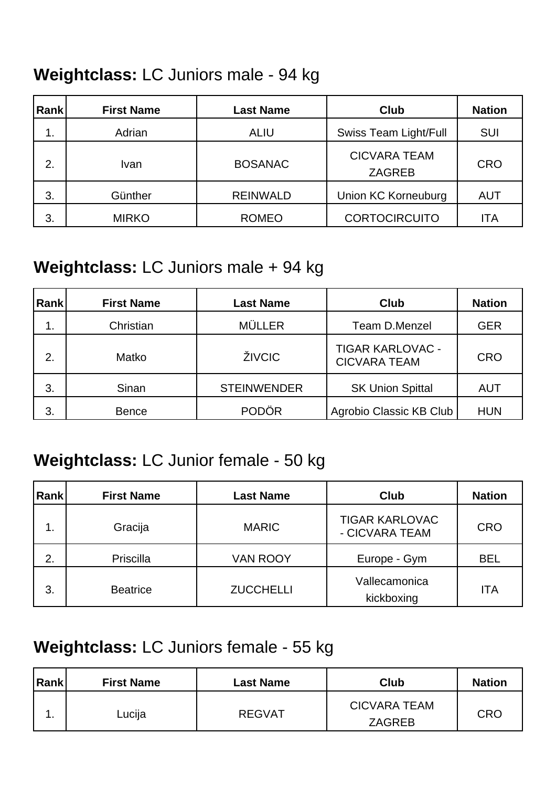#### **Weightclass:** LC Juniors male - 94 kg

| Rank | <b>First Name</b> | <b>Last Name</b> | <b>Club</b>                          | <b>Nation</b> |
|------|-------------------|------------------|--------------------------------------|---------------|
| 1.   | Adrian            | <b>ALIU</b>      | Swiss Team Light/Full                | <b>SUI</b>    |
| 2.   | Ivan              | <b>BOSANAC</b>   | <b>CICVARA TEAM</b><br><b>ZAGREB</b> | <b>CRO</b>    |
| 3.   | Günther           | <b>REINWALD</b>  | Union KC Korneuburg                  | <b>AUT</b>    |
| 3.   | <b>MIRKO</b>      | <b>ROMEO</b>     | <b>CORTOCIRCUITO</b>                 | <b>ITA</b>    |

### **Weightclass:** LC Juniors male + 94 kg

| Rank           | <b>First Name</b> | <b>Last Name</b>   | <b>Club</b>                                    | <b>Nation</b> |
|----------------|-------------------|--------------------|------------------------------------------------|---------------|
| $\mathbf{1}$ . | Christian         | <b>MÜLLER</b>      | <b>Team D.Menzel</b>                           | <b>GER</b>    |
| 2.             | Matko             | ŽIVCIC             | <b>TIGAR KARLOVAC -</b><br><b>CICVARA TEAM</b> | <b>CRO</b>    |
| 3.             | Sinan             | <b>STEINWENDER</b> | <b>SK Union Spittal</b>                        | <b>AUT</b>    |
| 3.             | <b>Bence</b>      | <b>PODÖR</b>       | Agrobio Classic KB Club                        | <b>HUN</b>    |

#### **Weightclass:** LC Junior female - 50 kg

| <b>Rank</b>    | <b>First Name</b> | <b>Last Name</b> | <b>Club</b>                             | <b>Nation</b> |
|----------------|-------------------|------------------|-----------------------------------------|---------------|
| $\mathbf{1}$ . | Gracija           | <b>MARIC</b>     | <b>TIGAR KARLOVAC</b><br>- CICVARA TEAM | <b>CRO</b>    |
| 2.             | Priscilla         | <b>VAN ROOY</b>  | Europe - Gym                            | <b>BEL</b>    |
| 3.             | <b>Beatrice</b>   | <b>ZUCCHELLI</b> | Vallecamonica<br>kickboxing             | <b>ITA</b>    |

#### **Weightclass:** LC Juniors female - 55 kg

| Rank | <b>First Name</b> | Last Name     | <b>Club</b>                          | <b>Nation</b> |
|------|-------------------|---------------|--------------------------------------|---------------|
|      | Lucija            | <b>REGVAT</b> | <b>CICVARA TEAM</b><br><b>ZAGREB</b> | <b>CRO</b>    |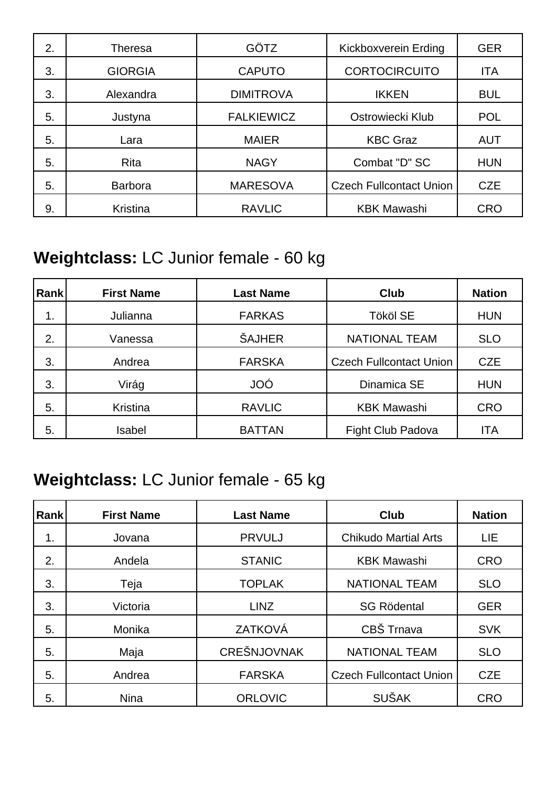| 2. | <b>Theresa</b> | <b>GÖTZ</b>       | Kickboxverein Erding           | <b>GER</b> |
|----|----------------|-------------------|--------------------------------|------------|
| 3. | <b>GIORGIA</b> | <b>CAPUTO</b>     | <b>CORTOCIRCUITO</b>           | <b>ITA</b> |
| 3. | Alexandra      | <b>DIMITROVA</b>  | <b>IKKEN</b>                   | <b>BUL</b> |
| 5. | Justyna        | <b>FALKIEWICZ</b> | Ostrowiecki Klub               | <b>POL</b> |
| 5. | Lara           | <b>MAIER</b>      | <b>KBC Graz</b>                | <b>AUT</b> |
| 5. | Rita           | <b>NAGY</b>       | Combat "D" SC                  | <b>HUN</b> |
| 5. | <b>Barbora</b> | <b>MARESOVA</b>   | <b>Czech Fullcontact Union</b> | <b>CZE</b> |
| 9. | Kristina       | <b>RAVLIC</b>     | <b>KBK Mawashi</b>             | <b>CRO</b> |

### **Weightclass:** LC Junior female - 60 kg

| ∣Rankİ | <b>First Name</b> | <b>Last Name</b> | <b>Club</b>                    | <b>Nation</b> |
|--------|-------------------|------------------|--------------------------------|---------------|
| 1.     | Julianna          | <b>FARKAS</b>    | <b>Tököl SE</b>                | <b>HUN</b>    |
| 2.     | Vanessa           | <b>ŠAJHER</b>    | <b>NATIONAL TEAM</b>           | <b>SLO</b>    |
| 3.     | Andrea            | <b>FARSKA</b>    | <b>Czech Fullcontact Union</b> | <b>CZE</b>    |
| 3.     | Virág             | <b>JOÓ</b>       | Dinamica SE                    | <b>HUN</b>    |
| 5.     | Kristina          | <b>RAVLIC</b>    | <b>KBK Mawashi</b>             | <b>CRO</b>    |
| 5.     | Isabel            | <b>BATTAN</b>    | Fight Club Padova              | <b>ITA</b>    |

### **Weightclass:** LC Junior female - 65 kg

| <b>Rank</b> | <b>First Name</b> | <b>Last Name</b>   | <b>Club</b>                    | <b>Nation</b> |
|-------------|-------------------|--------------------|--------------------------------|---------------|
| 1.          | Jovana            | <b>PRVULJ</b>      | <b>Chikudo Martial Arts</b>    | <b>LIE</b>    |
| 2.          | Andela            | <b>STANIC</b>      | <b>KBK Mawashi</b>             | <b>CRO</b>    |
| 3.          | Teja              | <b>TOPLAK</b>      | <b>NATIONAL TEAM</b>           | <b>SLO</b>    |
| 3.          | Victoria          | <b>LINZ</b>        | <b>SG Rödental</b>             | <b>GER</b>    |
| 5.          | Monika            | ZATKOVÁ            | CBŠ Trnava                     | <b>SVK</b>    |
| 5.          | Maja              | <b>CREŠNJOVNAK</b> | <b>NATIONAL TEAM</b>           | <b>SLO</b>    |
| 5.          | Andrea            | <b>FARSKA</b>      | <b>Czech Fullcontact Union</b> | <b>CZE</b>    |
| 5.          | <b>Nina</b>       | <b>ORLOVIC</b>     | <b>SUŠAK</b>                   | <b>CRO</b>    |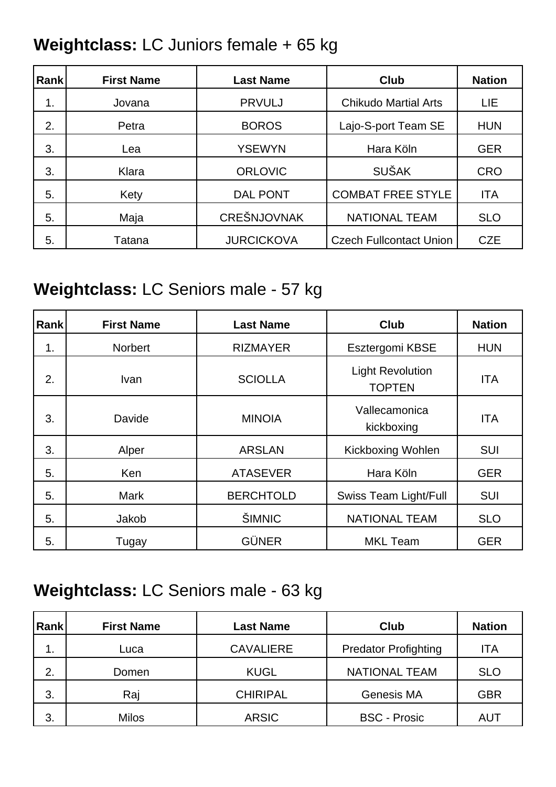# **Weightclass:** LC Juniors female + 65 kg

| Rank | <b>First Name</b> | <b>Last Name</b>   | <b>Club</b>                    | <b>Nation</b> |
|------|-------------------|--------------------|--------------------------------|---------------|
| 1.   | Jovana            | <b>PRVULJ</b>      | <b>Chikudo Martial Arts</b>    | LIE           |
| 2.   | Petra             | <b>BOROS</b>       | Lajo-S-port Team SE            | <b>HUN</b>    |
| 3.   | Lea               | <b>YSEWYN</b>      | Hara Köln                      | <b>GER</b>    |
| 3.   | Klara             | <b>ORLOVIC</b>     | <b>SUŠAK</b>                   | <b>CRO</b>    |
| 5.   | Kety              | <b>DAL PONT</b>    | <b>COMBAT FREE STYLE</b>       | <b>ITA</b>    |
| 5.   | Maja              | <b>CREŠNJOVNAK</b> | <b>NATIONAL TEAM</b>           | <b>SLO</b>    |
| 5.   | Tatana            | <b>JURCICKOVA</b>  | <b>Czech Fullcontact Union</b> | <b>CZE</b>    |

# **Weightclass:** LC Seniors male - 57 kg

| <b>Rank</b> | <b>First Name</b> | <b>Last Name</b> | <b>Club</b>                              | <b>Nation</b> |
|-------------|-------------------|------------------|------------------------------------------|---------------|
| 1.          | <b>Norbert</b>    | <b>RIZMAYER</b>  | Esztergomi KBSE                          | <b>HUN</b>    |
| 2.          | <b>Ivan</b>       | <b>SCIOLLA</b>   | <b>Light Revolution</b><br><b>TOPTEN</b> | <b>ITA</b>    |
| 3.          | Davide            | <b>MINOIA</b>    | Vallecamonica<br>kickboxing              | <b>ITA</b>    |
| 3.          | Alper             | <b>ARSLAN</b>    | <b>Kickboxing Wohlen</b>                 | <b>SUI</b>    |
| 5.          | Ken               | <b>ATASEVER</b>  | Hara Köln                                | <b>GER</b>    |
| 5.          | <b>Mark</b>       | <b>BERCHTOLD</b> | <b>Swiss Team Light/Full</b>             | <b>SUI</b>    |
| 5.          | Jakob             | ŠIMNIC           | <b>NATIONAL TEAM</b>                     | <b>SLO</b>    |
| 5.          | Tugay             | <b>GÜNER</b>     | <b>MKL Team</b>                          | <b>GER</b>    |

#### **Weightclass:** LC Seniors male - 63 kg

| <b>Rank</b> | <b>First Name</b> | <b>Last Name</b> | Club                        | <b>Nation</b> |
|-------------|-------------------|------------------|-----------------------------|---------------|
| 1.          | Luca              | <b>CAVALIERE</b> | <b>Predator Profighting</b> | ITA           |
| 2.          | Domen             | <b>KUGL</b>      | NATIONAL TEAM               | <b>SLO</b>    |
| 3.          | Raj               | <b>CHIRIPAL</b>  | Genesis MA                  | <b>GBR</b>    |
| 3.          | <b>Milos</b>      | <b>ARSIC</b>     | <b>BSC - Prosic</b>         | AUT           |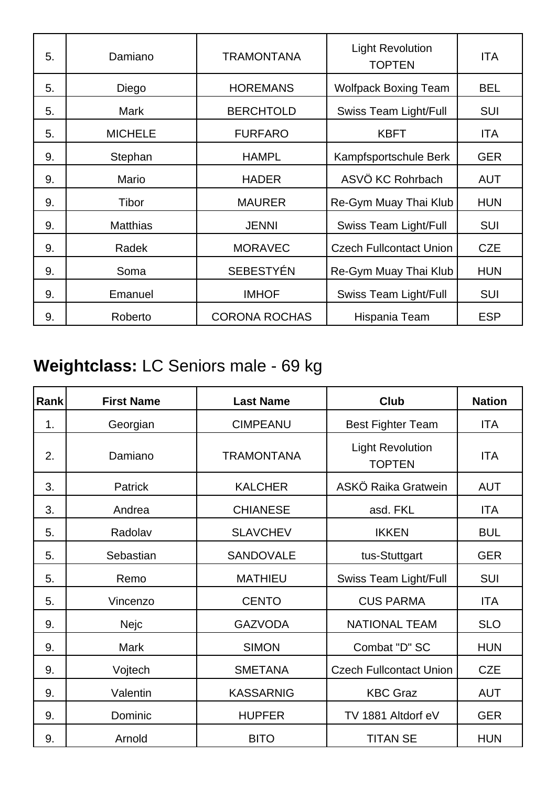| 5. | Damiano         | <b>TRAMONTANA</b>    | <b>Light Revolution</b><br><b>TOPTEN</b> | ITA        |
|----|-----------------|----------------------|------------------------------------------|------------|
| 5. | Diego           | <b>HOREMANS</b>      | <b>Wolfpack Boxing Team</b>              | <b>BEL</b> |
| 5. | Mark            | <b>BERCHTOLD</b>     | <b>Swiss Team Light/Full</b>             | <b>SUI</b> |
| 5. | <b>MICHELE</b>  | <b>FURFARO</b>       | <b>KBFT</b>                              | <b>ITA</b> |
| 9. | Stephan         | <b>HAMPL</b>         | Kampfsportschule Berk                    | <b>GER</b> |
| 9. | Mario           | <b>HADER</b>         | ASVÖ KC Rohrbach                         | <b>AUT</b> |
| 9. | Tibor           | <b>MAURER</b>        | Re-Gym Muay Thai Klub                    | <b>HUN</b> |
| 9. | <b>Matthias</b> | <b>JENNI</b>         | <b>Swiss Team Light/Full</b>             | SUI        |
| 9. | Radek           | <b>MORAVEC</b>       | <b>Czech Fullcontact Union</b>           | <b>CZE</b> |
| 9. | Soma            | <b>SEBESTYÉN</b>     | Re-Gym Muay Thai Klub                    | <b>HUN</b> |
| 9. | Emanuel         | <b>IMHOF</b>         | <b>Swiss Team Light/Full</b>             | <b>SUI</b> |
| 9. | Roberto         | <b>CORONA ROCHAS</b> | Hispania Team                            | <b>ESP</b> |

# **Weightclass:** LC Seniors male - 69 kg

| Rank | <b>First Name</b> | <b>Last Name</b>  | <b>Club</b>                              | <b>Nation</b> |
|------|-------------------|-------------------|------------------------------------------|---------------|
| 1.   | Georgian          | <b>CIMPEANU</b>   | <b>Best Fighter Team</b>                 | <b>ITA</b>    |
| 2.   | Damiano           | <b>TRAMONTANA</b> | <b>Light Revolution</b><br><b>TOPTEN</b> | <b>ITA</b>    |
| 3.   | <b>Patrick</b>    | <b>KALCHER</b>    | ASKÖ Raika Gratwein                      | <b>AUT</b>    |
| 3.   | Andrea            | <b>CHIANESE</b>   | asd. FKL                                 | <b>ITA</b>    |
| 5.   | Radolav           | <b>SLAVCHEV</b>   | <b>IKKEN</b>                             | <b>BUL</b>    |
| 5.   | Sebastian         | <b>SANDOVALE</b>  | tus-Stuttgart                            | <b>GER</b>    |
| 5.   | Remo              | <b>MATHIEU</b>    | <b>Swiss Team Light/Full</b>             | <b>SUI</b>    |
| 5.   | Vincenzo          | <b>CENTO</b>      | <b>CUS PARMA</b>                         | <b>ITA</b>    |
| 9.   | Nejc              | <b>GAZVODA</b>    | <b>NATIONAL TEAM</b>                     | <b>SLO</b>    |
| 9.   | <b>Mark</b>       | <b>SIMON</b>      | Combat "D" SC                            | <b>HUN</b>    |
| 9.   | Vojtech           | <b>SMETANA</b>    | <b>Czech Fullcontact Union</b>           | <b>CZE</b>    |
| 9.   | Valentin          | <b>KASSARNIG</b>  | <b>KBC Graz</b>                          | <b>AUT</b>    |
| 9.   | Dominic           | <b>HUPFER</b>     | TV 1881 Altdorf eV                       | <b>GER</b>    |
| 9.   | Arnold            | <b>BITO</b>       | <b>TITAN SE</b>                          | <b>HUN</b>    |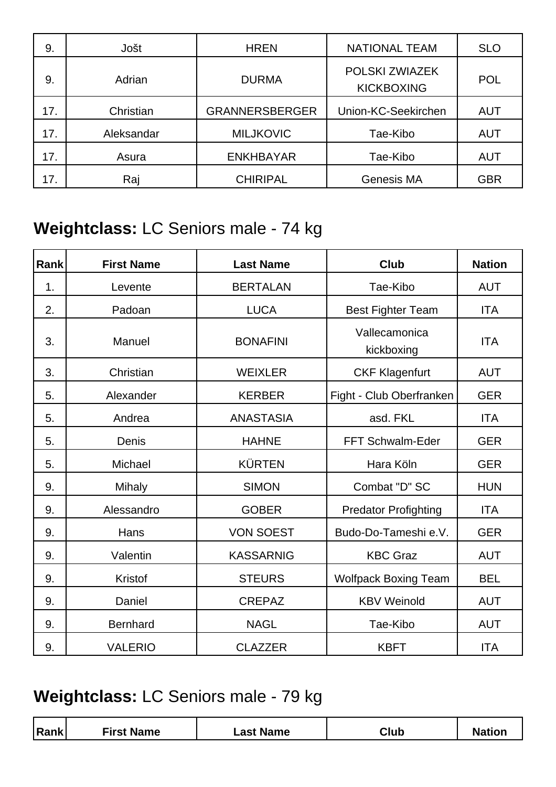| 9.  | Jošt       | <b>HREN</b>           | <b>NATIONAL TEAM</b>                | <b>SLO</b> |
|-----|------------|-----------------------|-------------------------------------|------------|
| 9.  | Adrian     | <b>DURMA</b>          | POLSKI ZWIAZEK<br><b>KICKBOXING</b> | <b>POL</b> |
| 17. | Christian  | <b>GRANNERSBERGER</b> | Union-KC-Seekirchen                 | <b>AUT</b> |
| 17. | Aleksandar | <b>MILJKOVIC</b>      | Tae-Kibo                            | <b>AUT</b> |
| 17. | Asura      | <b>ENKHBAYAR</b>      | Tae-Kibo                            | <b>AUT</b> |
| 17. | Raj        | <b>CHIRIPAL</b>       | <b>Genesis MA</b>                   | <b>GBR</b> |

### **Weightclass:** LC Seniors male - 74 kg

| Rank | <b>First Name</b> | <b>Last Name</b> | <b>Club</b>                 | <b>Nation</b> |
|------|-------------------|------------------|-----------------------------|---------------|
| 1.   | Levente           | <b>BERTALAN</b>  | Tae-Kibo                    | <b>AUT</b>    |
| 2.   | Padoan            | <b>LUCA</b>      | <b>Best Fighter Team</b>    | <b>ITA</b>    |
| 3.   | Manuel            | <b>BONAFINI</b>  | Vallecamonica<br>kickboxing | <b>ITA</b>    |
| 3.   | Christian         | <b>WEIXLER</b>   | <b>CKF Klagenfurt</b>       | <b>AUT</b>    |
| 5.   | Alexander         | <b>KERBER</b>    | Fight - Club Oberfranken    | <b>GER</b>    |
| 5.   | Andrea            | <b>ANASTASIA</b> | asd. FKL                    | <b>ITA</b>    |
| 5.   | Denis             | <b>HAHNE</b>     | FFT Schwalm-Eder            | <b>GER</b>    |
| 5.   | Michael           | <b>KÜRTEN</b>    | Hara Köln                   | <b>GER</b>    |
| 9.   | <b>Mihaly</b>     | <b>SIMON</b>     | Combat "D" SC               | <b>HUN</b>    |
| 9.   | Alessandro        | <b>GOBER</b>     | <b>Predator Profighting</b> | <b>ITA</b>    |
| 9.   | Hans              | <b>VON SOEST</b> | Budo-Do-Tameshi e.V.        | <b>GER</b>    |
| 9.   | Valentin          | <b>KASSARNIG</b> | <b>KBC Graz</b>             | <b>AUT</b>    |
| 9.   | Kristof           | <b>STEURS</b>    | <b>Wolfpack Boxing Team</b> | <b>BEL</b>    |
| 9.   | Daniel            | <b>CREPAZ</b>    | <b>KBV Weinold</b>          | <b>AUT</b>    |
| 9.   | <b>Bernhard</b>   | <b>NAGL</b>      | Tae-Kibo                    | <b>AUT</b>    |
| 9.   | <b>VALERIO</b>    | <b>CLAZZER</b>   | <b>KBFT</b>                 | <b>ITA</b>    |

### **Weightclass:** LC Seniors male - 79 kg

|--|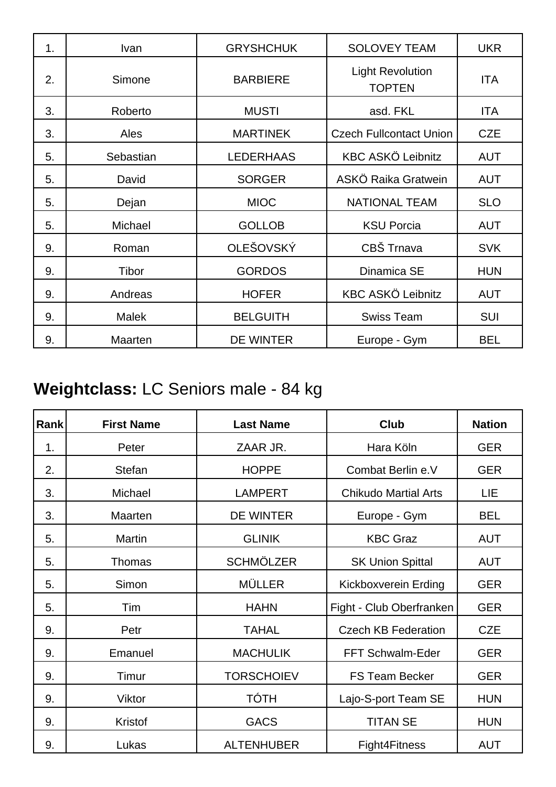| 1. | Ivan      | <b>GRYSHCHUK</b> | <b>SOLOVEY TEAM</b>                      | <b>UKR</b> |
|----|-----------|------------------|------------------------------------------|------------|
| 2. | Simone    | <b>BARBIERE</b>  | <b>Light Revolution</b><br><b>TOPTEN</b> | <b>ITA</b> |
| 3. | Roberto   | <b>MUSTI</b>     | asd. FKL                                 | ITA        |
| 3. | Ales      | <b>MARTINEK</b>  | <b>Czech Fullcontact Union</b>           | <b>CZE</b> |
| 5. | Sebastian | <b>LEDERHAAS</b> | <b>KBC ASKÖ Leibnitz</b>                 | <b>AUT</b> |
| 5. | David     | <b>SORGER</b>    | ASKÖ Raika Gratwein                      | <b>AUT</b> |
| 5. | Dejan     | <b>MIOC</b>      | <b>NATIONAL TEAM</b>                     | <b>SLO</b> |
| 5. | Michael   | <b>GOLLOB</b>    | <b>KSU Porcia</b>                        | <b>AUT</b> |
| 9. | Roman     | OLEŠOVSKÝ        | CBŠ Trnava                               | <b>SVK</b> |
| 9. | Tibor     | <b>GORDOS</b>    | Dinamica SE                              | <b>HUN</b> |
| 9. | Andreas   | <b>HOFER</b>     | <b>KBC ASKÖ Leibnitz</b>                 | <b>AUT</b> |
| 9. | Malek     | <b>BELGUITH</b>  | <b>Swiss Team</b>                        | <b>SUI</b> |
| 9. | Maarten   | <b>DE WINTER</b> | Europe - Gym                             | <b>BEL</b> |

# **Weightclass:** LC Seniors male - 84 kg

| Rank | <b>First Name</b> | <b>Last Name</b>  | <b>Club</b>                 | <b>Nation</b> |
|------|-------------------|-------------------|-----------------------------|---------------|
| 1.   | Peter             | ZAAR JR.          | Hara Köln                   | <b>GER</b>    |
| 2.   | <b>Stefan</b>     | <b>HOPPE</b>      | Combat Berlin e.V           | <b>GER</b>    |
| 3.   | Michael           | <b>LAMPERT</b>    | <b>Chikudo Martial Arts</b> | LIE           |
| 3.   | Maarten           | <b>DE WINTER</b>  | Europe - Gym                | <b>BEL</b>    |
| 5.   | <b>Martin</b>     | <b>GLINIK</b>     | <b>KBC Graz</b>             | <b>AUT</b>    |
| 5.   | Thomas            | <b>SCHMÖLZER</b>  | <b>SK Union Spittal</b>     | <b>AUT</b>    |
| 5.   | Simon             | <b>MÜLLER</b>     | Kickboxverein Erding        | <b>GER</b>    |
| 5.   | Tim               | <b>HAHN</b>       | Fight - Club Oberfranken    | <b>GER</b>    |
| 9.   | Petr              | <b>TAHAL</b>      | <b>Czech KB Federation</b>  | <b>CZE</b>    |
| 9.   | Emanuel           | <b>MACHULIK</b>   | FFT Schwalm-Eder            | <b>GER</b>    |
| 9.   | Timur             | <b>TORSCHOIEV</b> | <b>FS Team Becker</b>       | <b>GER</b>    |
| 9.   | Viktor            | TÓTH              | Lajo-S-port Team SE         | <b>HUN</b>    |
| 9.   | Kristof           | <b>GACS</b>       | <b>TITAN SE</b>             | <b>HUN</b>    |
| 9.   | Lukas             | <b>ALTENHUBER</b> | Fight4Fitness               | <b>AUT</b>    |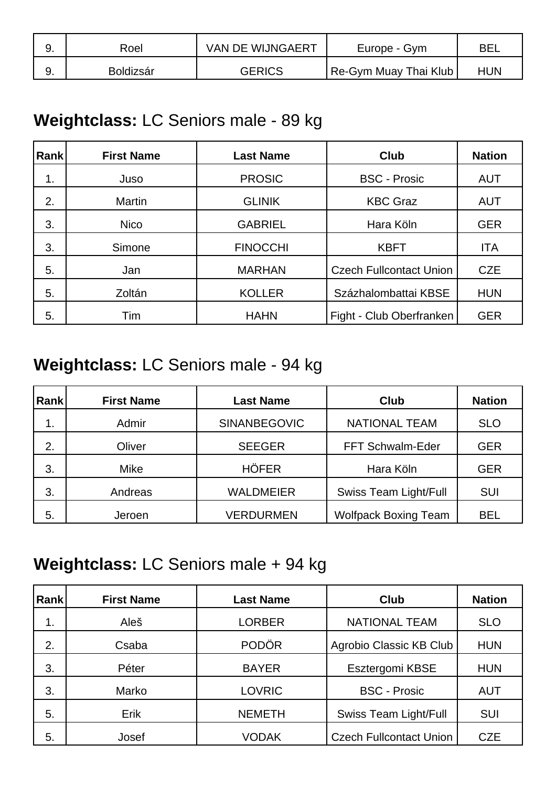| Roel             | VAN DE WIJNGAERT | Europe - Gym                 | <b>BE</b>  |
|------------------|------------------|------------------------------|------------|
| <b>Boldizsár</b> | GERICS           | <b>Re-Gym Muay Thai Klub</b> | <b>HUN</b> |

#### **Weightclass:** LC Seniors male - 89 kg

| <b>Rank</b> | <b>First Name</b> | <b>Last Name</b> | Club                           | <b>Nation</b> |
|-------------|-------------------|------------------|--------------------------------|---------------|
| 1.          | Juso              | <b>PROSIC</b>    | <b>BSC - Prosic</b>            | <b>AUT</b>    |
| 2.          | <b>Martin</b>     | <b>GLINIK</b>    | <b>KBC Graz</b>                | <b>AUT</b>    |
| 3.          | <b>Nico</b>       | <b>GABRIEL</b>   | Hara Köln                      | <b>GER</b>    |
| 3.          | Simone            | <b>FINOCCHI</b>  | <b>KBFT</b>                    | <b>ITA</b>    |
| 5.          | Jan               | <b>MARHAN</b>    | <b>Czech Fullcontact Union</b> | <b>CZE</b>    |
| 5.          | Zoltán            | <b>KOLLER</b>    | Százhalombattai KBSE           | <b>HUN</b>    |
| 5.          | Tim               | <b>HAHN</b>      | Fight - Club Oberfranken       | <b>GER</b>    |

### **Weightclass:** LC Seniors male - 94 kg

| Rank | <b>First Name</b> | <b>Last Name</b>    | Club                         | <b>Nation</b> |
|------|-------------------|---------------------|------------------------------|---------------|
| 1.   | Admir             | <b>SINANBEGOVIC</b> | <b>NATIONAL TEAM</b>         | <b>SLO</b>    |
| 2.   | Oliver            | <b>SEEGER</b>       | FFT Schwalm-Eder             | <b>GER</b>    |
| 3.   | Mike              | <b>HÖFER</b>        | Hara Köln                    | <b>GER</b>    |
| 3.   | Andreas           | <b>WALDMEIER</b>    | <b>Swiss Team Light/Full</b> | SUI           |
| 5.   | Jeroen            | <b>VERDURMEN</b>    | <b>Wolfpack Boxing Team</b>  | BEL           |

#### **Weightclass:** LC Seniors male + 94 kg

| <b>Rank</b> | <b>First Name</b> | <b>Last Name</b> | Club                           | <b>Nation</b> |
|-------------|-------------------|------------------|--------------------------------|---------------|
| 1.          | Aleš              | <b>LORBER</b>    | <b>NATIONAL TEAM</b>           | <b>SLO</b>    |
| 2.          | Csaba             | <b>PODÖR</b>     | Agrobio Classic KB Club        | <b>HUN</b>    |
| 3.          | Péter             | <b>BAYER</b>     | Esztergomi KBSE                | <b>HUN</b>    |
| 3.          | Marko             | <b>LOVRIC</b>    | <b>BSC - Prosic</b>            | <b>AUT</b>    |
| 5.          | Erik              | <b>NEMETH</b>    | <b>Swiss Team Light/Full</b>   | <b>SUI</b>    |
| 5.          | Josef             | <b>VODAK</b>     | <b>Czech Fullcontact Union</b> | <b>CZE</b>    |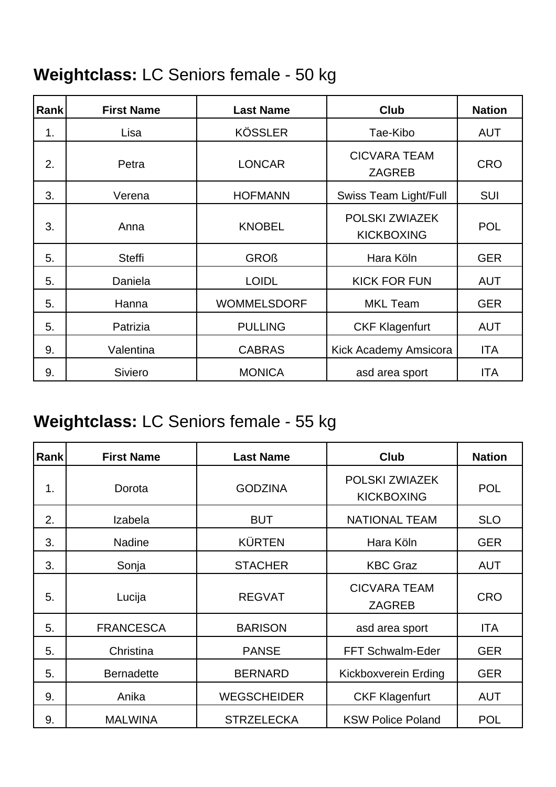### **Weightclass:** LC Seniors female - 50 kg

| <b>Rank</b> | <b>First Name</b> | <b>Last Name</b>   | <b>Club</b>                          | <b>Nation</b> |
|-------------|-------------------|--------------------|--------------------------------------|---------------|
| 1.          | Lisa              | <b>KÖSSLER</b>     | Tae-Kibo                             | <b>AUT</b>    |
| 2.          | Petra             | <b>LONCAR</b>      | <b>CICVARA TEAM</b><br><b>ZAGREB</b> | <b>CRO</b>    |
| 3.          | Verena            | <b>HOFMANN</b>     | <b>Swiss Team Light/Full</b>         | <b>SUI</b>    |
| 3.          | Anna              | <b>KNOBEL</b>      | POLSKI ZWIAZEK<br><b>KICKBOXING</b>  | <b>POL</b>    |
| 5.          | <b>Steffi</b>     | <b>GROß</b>        | Hara Köln                            | <b>GER</b>    |
| 5.          | Daniela           | <b>LOIDL</b>       | <b>KICK FOR FUN</b>                  | <b>AUT</b>    |
| 5.          | Hanna             | <b>WOMMELSDORF</b> | <b>MKL Team</b>                      | <b>GER</b>    |
| 5.          | Patrizia          | <b>PULLING</b>     | <b>CKF Klagenfurt</b>                | <b>AUT</b>    |
| 9.          | Valentina         | <b>CABRAS</b>      | Kick Academy Amsicora                | <b>ITA</b>    |
| 9.          | <b>Siviero</b>    | <b>MONICA</b>      | asd area sport                       | <b>ITA</b>    |

### **Weightclass:** LC Seniors female - 55 kg

| Rank | <b>First Name</b> | <b>Last Name</b>   | <b>Club</b>                          | <b>Nation</b> |
|------|-------------------|--------------------|--------------------------------------|---------------|
| 1.   | Dorota            | <b>GODZINA</b>     | POLSKI ZWIAZEK<br><b>KICKBOXING</b>  | <b>POL</b>    |
| 2.   | Izabela           | <b>BUT</b>         | <b>NATIONAL TEAM</b>                 | <b>SLO</b>    |
| 3.   | <b>Nadine</b>     | <b>KÜRTEN</b>      | Hara Köln                            | <b>GER</b>    |
| 3.   | Sonja             | <b>STACHER</b>     | <b>KBC Graz</b>                      | <b>AUT</b>    |
| 5.   | Lucija            | <b>REGVAT</b>      | <b>CICVARA TEAM</b><br><b>ZAGREB</b> | <b>CRO</b>    |
| 5.   | <b>FRANCESCA</b>  | <b>BARISON</b>     | asd area sport                       | <b>ITA</b>    |
| 5.   | Christina         | <b>PANSE</b>       | FFT Schwalm-Eder                     | <b>GER</b>    |
| 5.   | <b>Bernadette</b> | <b>BERNARD</b>     | Kickboxverein Erding                 | <b>GER</b>    |
| 9.   | Anika             | <b>WEGSCHEIDER</b> | <b>CKF Klagenfurt</b>                | <b>AUT</b>    |
| 9.   | <b>MALWINA</b>    | <b>STRZELECKA</b>  | <b>KSW Police Poland</b>             | <b>POL</b>    |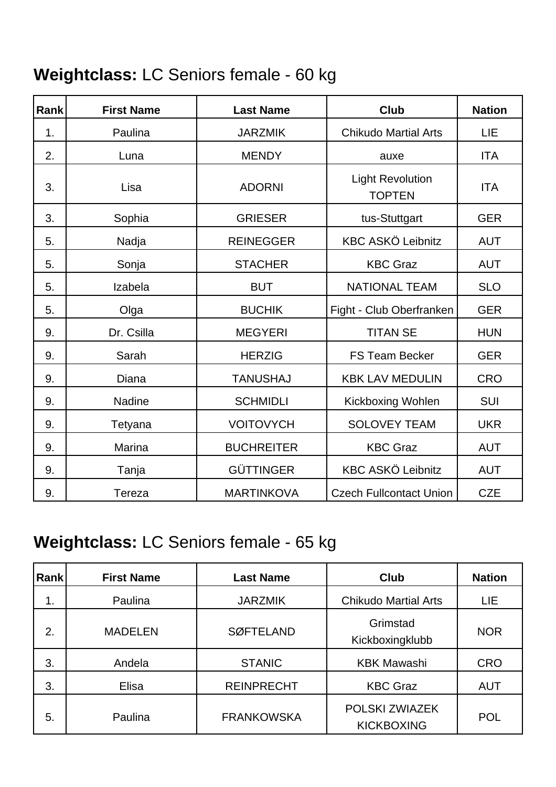### **Weightclass:** LC Seniors female - 60 kg

| Rank | <b>First Name</b> | <b>Last Name</b>  | Club                                     | <b>Nation</b> |
|------|-------------------|-------------------|------------------------------------------|---------------|
| 1.   | Paulina           | <b>JARZMIK</b>    | <b>Chikudo Martial Arts</b>              | LIE           |
| 2.   | Luna              | <b>MENDY</b>      | auxe                                     | <b>ITA</b>    |
| 3.   | Lisa              | <b>ADORNI</b>     | <b>Light Revolution</b><br><b>TOPTEN</b> | <b>ITA</b>    |
| 3.   | Sophia            | <b>GRIESER</b>    | tus-Stuttgart                            | <b>GER</b>    |
| 5.   | Nadja             | <b>REINEGGER</b>  | <b>KBC ASKÖ Leibnitz</b>                 | <b>AUT</b>    |
| 5.   | Sonja             | <b>STACHER</b>    | <b>KBC Graz</b>                          | <b>AUT</b>    |
| 5.   | Izabela           | <b>BUT</b>        | <b>NATIONAL TEAM</b>                     | <b>SLO</b>    |
| 5.   | Olga              | <b>BUCHIK</b>     | Fight - Club Oberfranken                 | <b>GER</b>    |
| 9.   | Dr. Csilla        | <b>MEGYERI</b>    | <b>TITAN SE</b>                          | <b>HUN</b>    |
| 9.   | Sarah             | <b>HERZIG</b>     | <b>FS Team Becker</b>                    | <b>GER</b>    |
| 9.   | Diana             | <b>TANUSHAJ</b>   | <b>KBK LAV MEDULIN</b>                   | <b>CRO</b>    |
| 9.   | <b>Nadine</b>     | <b>SCHMIDLI</b>   | Kickboxing Wohlen                        | <b>SUI</b>    |
| 9.   | Tetyana           | <b>VOITOVYCH</b>  | <b>SOLOVEY TEAM</b>                      | <b>UKR</b>    |
| 9.   | Marina            | <b>BUCHREITER</b> | <b>KBC Graz</b>                          | <b>AUT</b>    |
| 9.   | Tanja             | <b>GÜTTINGER</b>  | <b>KBC ASKÖ Leibnitz</b>                 | <b>AUT</b>    |
| 9.   | Tereza            | <b>MARTINKOVA</b> | <b>Czech Fullcontact Union</b>           | <b>CZE</b>    |

### **Weightclass:** LC Seniors female - 65 kg

| <b>Rank</b> | <b>First Name</b> | <b>Last Name</b>  | <b>Club</b>                         | <b>Nation</b> |
|-------------|-------------------|-------------------|-------------------------------------|---------------|
| 1.          | Paulina           | <b>JARZMIK</b>    | <b>Chikudo Martial Arts</b>         | LIE.          |
| 2.          | <b>MADELEN</b>    | <b>SØFTELAND</b>  | Grimstad<br>Kickboxingklubb         | <b>NOR</b>    |
| 3.          | Andela            | <b>STANIC</b>     | <b>KBK Mawashi</b>                  | <b>CRO</b>    |
| 3.          | Elisa             | <b>REINPRECHT</b> | <b>KBC Graz</b>                     | <b>AUT</b>    |
| 5.          | Paulina           | <b>FRANKOWSKA</b> | POLSKI ZWIAZEK<br><b>KICKBOXING</b> | <b>POL</b>    |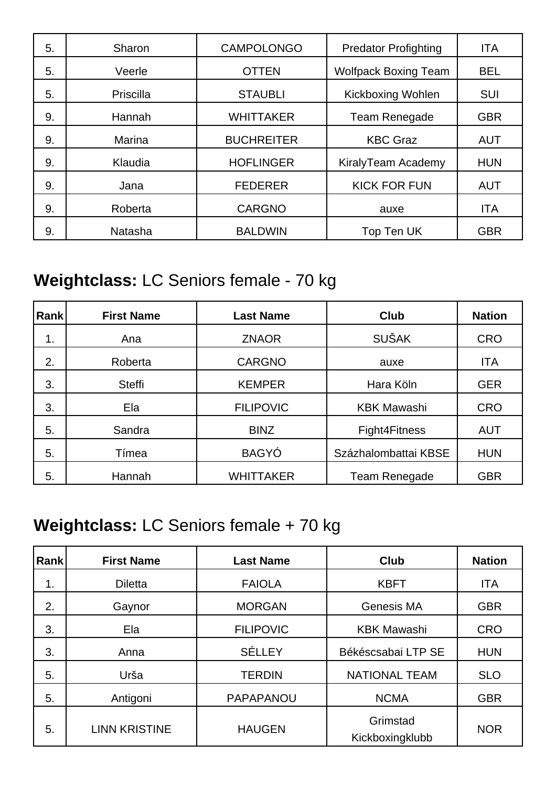| 5. | Sharon    | <b>CAMPOLONGO</b> | <b>Predator Profighting</b> | <b>ITA</b> |
|----|-----------|-------------------|-----------------------------|------------|
| 5. | Veerle    | <b>OTTEN</b>      | <b>Wolfpack Boxing Team</b> | <b>BEL</b> |
| 5. | Priscilla | <b>STAUBLI</b>    | Kickboxing Wohlen           | SUI        |
| 9. | Hannah    | <b>WHITTAKER</b>  | Team Renegade               | <b>GBR</b> |
| 9. | Marina    | <b>BUCHREITER</b> | <b>KBC Graz</b>             | <b>AUT</b> |
| 9. | Klaudia   | <b>HOFLINGER</b>  | KiralyTeam Academy          | <b>HUN</b> |
| 9. | Jana      | <b>FEDERER</b>    | <b>KICK FOR FUN</b>         | <b>AUT</b> |
| 9. | Roberta   | <b>CARGNO</b>     | auxe                        | <b>ITA</b> |
| 9. | Natasha   | <b>BALDWIN</b>    | Top Ten UK                  | <b>GBR</b> |

### **Weightclass:** LC Seniors female - 70 kg

| Rank | <b>First Name</b> | <b>Last Name</b> | <b>Club</b>          | <b>Nation</b> |
|------|-------------------|------------------|----------------------|---------------|
| 1.   | Ana               | <b>ZNAOR</b>     | <b>SUŠAK</b>         | <b>CRO</b>    |
| 2.   | Roberta           | <b>CARGNO</b>    | auxe                 | <b>ITA</b>    |
| 3.   | <b>Steffi</b>     | <b>KEMPER</b>    | Hara Köln            | <b>GER</b>    |
| 3.   | Ela               | <b>FILIPOVIC</b> | <b>KBK Mawashi</b>   | <b>CRO</b>    |
| 5.   | Sandra            | <b>BINZ</b>      | Fight4Fitness        | <b>AUT</b>    |
| 5.   | Tímea             | <b>BAGYÓ</b>     | Százhalombattai KBSE | <b>HUN</b>    |
| 5.   | Hannah            | <b>WHITTAKER</b> | Team Renegade        | <b>GBR</b>    |

### **Weightclass:** LC Seniors female + 70 kg

| Rank | <b>First Name</b>    | <b>Last Name</b> | Club                        | <b>Nation</b> |
|------|----------------------|------------------|-----------------------------|---------------|
| 1.   | <b>Diletta</b>       | <b>FAIOLA</b>    | <b>KBFT</b>                 | <b>ITA</b>    |
| 2.   | Gaynor               | <b>MORGAN</b>    | Genesis MA                  | <b>GBR</b>    |
| 3.   | Ela                  | <b>FILIPOVIC</b> | <b>KBK Mawashi</b>          | <b>CRO</b>    |
| 3.   | Anna                 | <b>SÉLLEY</b>    | Békéscsabai LTP SE          | <b>HUN</b>    |
| 5.   | Urša                 | <b>TERDIN</b>    | <b>NATIONAL TEAM</b>        | <b>SLO</b>    |
| 5.   | Antigoni             | PAPAPANOU        | <b>NCMA</b>                 | <b>GBR</b>    |
| 5.   | <b>LINN KRISTINE</b> | <b>HAUGEN</b>    | Grimstad<br>Kickboxingklubb | <b>NOR</b>    |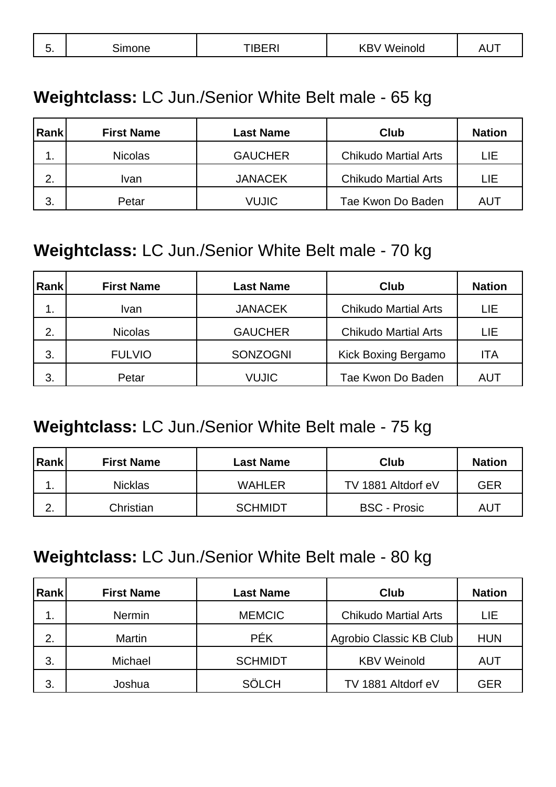| Δ<br>ш<br>ັ<br>$\sim$ $\sim$<br>_____ |
|---------------------------------------|
|---------------------------------------|

#### **Weightclass:** LC Jun./Senior White Belt male - 65 kg

| Rank | <b>First Name</b> | <b>Last Name</b> | Club                        | <b>Nation</b> |
|------|-------------------|------------------|-----------------------------|---------------|
| . .  | <b>Nicolas</b>    | <b>GAUCHER</b>   | <b>Chikudo Martial Arts</b> | LIE           |
| 2.   | Ivan              | <b>JANACEK</b>   | <b>Chikudo Martial Arts</b> | LIE           |
| 3.   | Petar             | VUJIC            | Tae Kwon Do Baden           | AUT           |

#### **Weightclass:** LC Jun./Senior White Belt male - 70 kg

| Rank | <b>First Name</b> | <b>Last Name</b> | Club                        | <b>Nation</b> |
|------|-------------------|------------------|-----------------------------|---------------|
| 1.   | Ivan              | <b>JANACEK</b>   | <b>Chikudo Martial Arts</b> | LIE           |
| 2.   | <b>Nicolas</b>    | <b>GAUCHER</b>   | <b>Chikudo Martial Arts</b> | LIE           |
| 3.   | <b>FULVIO</b>     | <b>SONZOGNI</b>  | Kick Boxing Bergamo         | ITA           |
| 3.   | Petar             | <b>VUJIC</b>     | Tae Kwon Do Baden           | AUT           |

#### **Weightclass:** LC Jun./Senior White Belt male - 75 kg

| Rank             | <b>First Name</b> | <b>Last Name</b> | Club                | <b>Nation</b> |
|------------------|-------------------|------------------|---------------------|---------------|
| . .              | <b>Nicklas</b>    | <b>WAHLER</b>    | TV 1881 Altdorf eV  | GER           |
| ⌒<br><u>. . </u> | Christian         | <b>SCHMIDT</b>   | <b>BSC - Prosic</b> | AUT           |

#### **Weightclass:** LC Jun./Senior White Belt male - 80 kg

| Rank | <b>First Name</b> | <b>Last Name</b> | Club                        | <b>Nation</b> |
|------|-------------------|------------------|-----------------------------|---------------|
| 1.   | <b>Nermin</b>     | <b>MEMCIC</b>    | <b>Chikudo Martial Arts</b> | LIE           |
| 2.   | <b>Martin</b>     | <b>PÉK</b>       | Agrobio Classic KB Club     | <b>HUN</b>    |
| 3.   | Michael           | <b>SCHMIDT</b>   | <b>KBV Weinold</b>          | AUT           |
| 3.   | Joshua            | <b>SÖLCH</b>     | TV 1881 Altdorf eV          | <b>GER</b>    |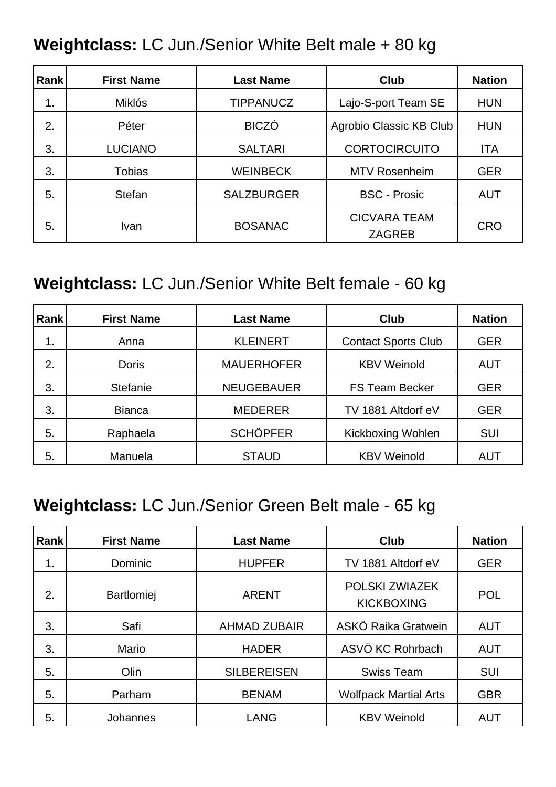#### **Weightclass:** LC Jun./Senior White Belt male + 80 kg

| <b>Rank</b> | <b>First Name</b> | <b>Last Name</b>  | Club                                 | <b>Nation</b> |
|-------------|-------------------|-------------------|--------------------------------------|---------------|
| 1.          | <b>Miklós</b>     | <b>TIPPANUCZ</b>  | Lajo-S-port Team SE                  | <b>HUN</b>    |
| 2.          | Péter             | <b>BICZÓ</b>      | Agrobio Classic KB Club              | <b>HUN</b>    |
| 3.          | <b>LUCIANO</b>    | <b>SALTARI</b>    | <b>CORTOCIRCUITO</b>                 | <b>ITA</b>    |
| 3.          | <b>Tobias</b>     | <b>WEINBECK</b>   | <b>MTV Rosenheim</b>                 | <b>GER</b>    |
| 5.          | <b>Stefan</b>     | <b>SALZBURGER</b> | <b>BSC - Prosic</b>                  | <b>AUT</b>    |
| 5.          | <b>Ivan</b>       | <b>BOSANAC</b>    | <b>CICVARA TEAM</b><br><b>ZAGREB</b> | <b>CRO</b>    |

#### **Weightclass:** LC Jun./Senior White Belt female - 60 kg

| <b>Rank</b> | <b>First Name</b> | <b>Last Name</b>  | Club                       | <b>Nation</b> |
|-------------|-------------------|-------------------|----------------------------|---------------|
| 1.          | Anna              | <b>KLEINERT</b>   | <b>Contact Sports Club</b> | <b>GER</b>    |
| 2.          | <b>Doris</b>      | <b>MAUERHOFER</b> | <b>KBV Weinold</b>         | <b>AUT</b>    |
| 3.          | <b>Stefanie</b>   | <b>NEUGEBAUER</b> | <b>FS Team Becker</b>      | <b>GER</b>    |
| 3.          | <b>Bianca</b>     | <b>MEDERER</b>    | TV 1881 Altdorf eV         | <b>GER</b>    |
| 5.          | Raphaela          | <b>SCHÖPFER</b>   | <b>Kickboxing Wohlen</b>   | <b>SUI</b>    |
| 5.          | Manuela           | <b>STAUD</b>      | <b>KBV Weinold</b>         | <b>AUT</b>    |

#### **Weightclass:** LC Jun./Senior Green Belt male - 65 kg

| Rank | <b>First Name</b> | <b>Last Name</b>    | Club                                | <b>Nation</b> |
|------|-------------------|---------------------|-------------------------------------|---------------|
| 1.   | Dominic           | <b>HUPFER</b>       | TV 1881 Altdorf eV                  | <b>GER</b>    |
| 2.   | <b>Bartlomiej</b> | <b>ARENT</b>        | POLSKI ZWIAZEK<br><b>KICKBOXING</b> | <b>POL</b>    |
| 3.   | Safi              | <b>AHMAD ZUBAIR</b> | ASKÖ Raika Gratwein                 | <b>AUT</b>    |
| 3.   | Mario             | <b>HADER</b>        | ASVÖ KC Rohrbach                    | <b>AUT</b>    |
| 5.   | Olin              | <b>SILBEREISEN</b>  | <b>Swiss Team</b>                   | <b>SUI</b>    |
| 5.   | Parham            | <b>BENAM</b>        | <b>Wolfpack Martial Arts</b>        | <b>GBR</b>    |
| 5.   | Johannes          | <b>LANG</b>         | <b>KBV Weinold</b>                  | <b>AUT</b>    |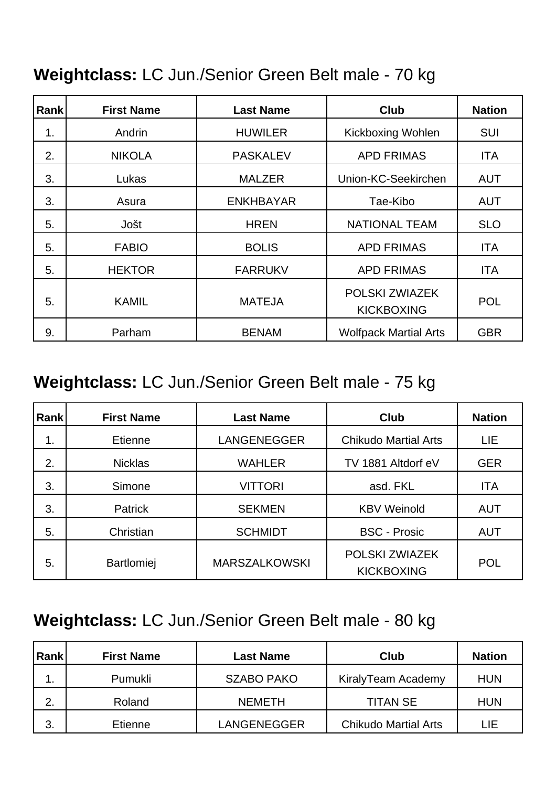#### **Weightclass:** LC Jun./Senior Green Belt male - 70 kg

| <b>Rank</b> | <b>First Name</b> | <b>Last Name</b> | <b>Club</b>                         | <b>Nation</b> |
|-------------|-------------------|------------------|-------------------------------------|---------------|
| 1.          | Andrin            | <b>HUWILER</b>   | <b>Kickboxing Wohlen</b>            | <b>SUI</b>    |
| 2.          | <b>NIKOLA</b>     | <b>PASKALEV</b>  | <b>APD FRIMAS</b>                   | ITA           |
| 3.          | Lukas             | <b>MALZER</b>    | Union-KC-Seekirchen                 | <b>AUT</b>    |
| 3.          | Asura             | <b>ENKHBAYAR</b> | Tae-Kibo                            | <b>AUT</b>    |
| 5.          | Jošt              | <b>HREN</b>      | <b>NATIONAL TEAM</b>                | <b>SLO</b>    |
| 5.          | <b>FABIO</b>      | <b>BOLIS</b>     | <b>APD FRIMAS</b>                   | <b>ITA</b>    |
| 5.          | <b>HEKTOR</b>     | <b>FARRUKV</b>   | <b>APD FRIMAS</b>                   | <b>ITA</b>    |
| 5.          | <b>KAMIL</b>      | <b>MATEJA</b>    | POLSKI ZWIAZEK<br><b>KICKBOXING</b> | <b>POL</b>    |
| 9.          | Parham            | <b>BENAM</b>     | <b>Wolfpack Martial Arts</b>        | <b>GBR</b>    |

#### **Weightclass:** LC Jun./Senior Green Belt male - 75 kg

| <b>Rank</b> | <b>First Name</b> | <b>Last Name</b>     | <b>Club</b>                         | <b>Nation</b> |
|-------------|-------------------|----------------------|-------------------------------------|---------------|
| 1.          | Etienne           | <b>LANGENEGGER</b>   | <b>Chikudo Martial Arts</b>         | LIE           |
| 2.          | <b>Nicklas</b>    | <b>WAHLER</b>        | TV 1881 Altdorf eV                  | <b>GER</b>    |
| 3.          | Simone            | <b>VITTORI</b>       | asd. FKL                            | <b>ITA</b>    |
| 3.          | <b>Patrick</b>    | <b>SEKMEN</b>        | <b>KBV Weinold</b>                  | <b>AUT</b>    |
| 5.          | Christian         | <b>SCHMIDT</b>       | <b>BSC - Prosic</b>                 | <b>AUT</b>    |
| 5.          | <b>Bartlomiej</b> | <b>MARSZALKOWSKI</b> | POLSKI ZWIAZEK<br><b>KICKBOXING</b> | <b>POL</b>    |

#### **Weightclass:** LC Jun./Senior Green Belt male - 80 kg

| Rank | <b>First Name</b> | <b>Last Name</b>   | Club                        | <b>Nation</b> |
|------|-------------------|--------------------|-----------------------------|---------------|
|      | Pumukli           | SZABO PAKO         | KiralyTeam Academy          | <b>HUN</b>    |
| 2.   | Roland            | <b>NEMETH</b>      | <b>TITAN SE</b>             | <b>HUN</b>    |
| 3.   | Etienne           | <b>LANGENEGGER</b> | <b>Chikudo Martial Arts</b> | LIE           |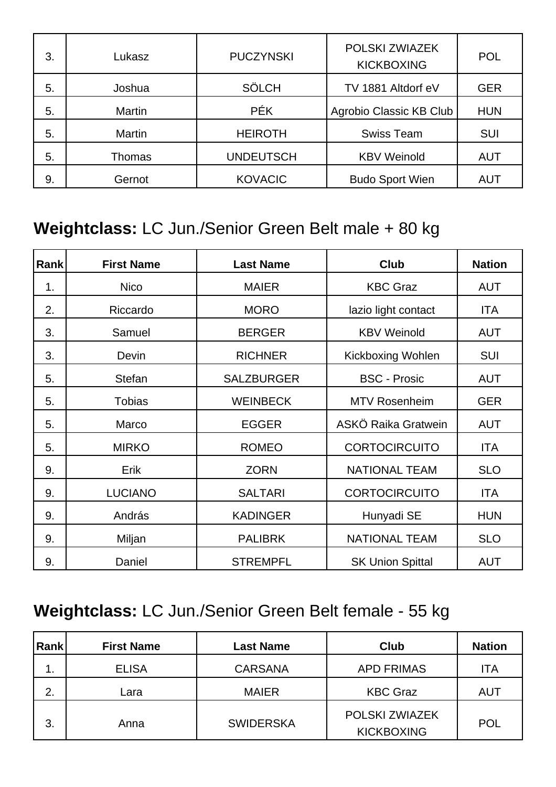| 3. | Lukasz        | <b>PUCZYNSKI</b> | POLSKI ZWIAZEK<br><b>KICKBOXING</b> | <b>POL</b> |
|----|---------------|------------------|-------------------------------------|------------|
| 5. | Joshua        | <b>SÖLCH</b>     | TV 1881 Altdorf eV                  | <b>GER</b> |
| 5. | Martin        | <b>PÉK</b>       | Agrobio Classic KB Club             | <b>HUN</b> |
| 5. | Martin        | <b>HEIROTH</b>   | <b>Swiss Team</b>                   | <b>SUI</b> |
| 5. | <b>Thomas</b> | <b>UNDEUTSCH</b> | <b>KBV Weinold</b>                  | <b>AUT</b> |
| 9. | Gernot        | <b>KOVACIC</b>   | <b>Budo Sport Wien</b>              | <b>AUT</b> |

#### **Weightclass:** LC Jun./Senior Green Belt male + 80 kg

| Rank | <b>First Name</b> | <b>Last Name</b>  | <b>Club</b>             | <b>Nation</b> |
|------|-------------------|-------------------|-------------------------|---------------|
| 1.   | <b>Nico</b>       | <b>MAIER</b>      | <b>KBC Graz</b>         | <b>AUT</b>    |
| 2.   | Riccardo          | <b>MORO</b>       | lazio light contact     | ITA           |
| 3.   | Samuel            | <b>BERGER</b>     | <b>KBV Weinold</b>      | <b>AUT</b>    |
| 3.   | Devin             | <b>RICHNER</b>    | Kickboxing Wohlen       | <b>SUI</b>    |
| 5.   | <b>Stefan</b>     | <b>SALZBURGER</b> | <b>BSC - Prosic</b>     | <b>AUT</b>    |
| 5.   | <b>Tobias</b>     | <b>WEINBECK</b>   | <b>MTV Rosenheim</b>    | <b>GER</b>    |
| 5.   | Marco             | <b>EGGER</b>      | ASKÖ Raika Gratwein     | <b>AUT</b>    |
| 5.   | <b>MIRKO</b>      | <b>ROMEO</b>      | <b>CORTOCIRCUITO</b>    | <b>ITA</b>    |
| 9.   | Erik              | <b>ZORN</b>       | <b>NATIONAL TEAM</b>    | <b>SLO</b>    |
| 9.   | <b>LUCIANO</b>    | <b>SALTARI</b>    | <b>CORTOCIRCUITO</b>    | <b>ITA</b>    |
| 9.   | András            | <b>KADINGER</b>   | Hunyadi SE              | <b>HUN</b>    |
| 9.   | Miljan            | <b>PALIBRK</b>    | <b>NATIONAL TEAM</b>    | <b>SLO</b>    |
| 9.   | Daniel            | <b>STREMPFL</b>   | <b>SK Union Spittal</b> | <b>AUT</b>    |

### **Weightclass:** LC Jun./Senior Green Belt female - 55 kg

| Rank | <b>First Name</b> | <b>Last Name</b> | <b>Club</b>                         | <b>Nation</b> |
|------|-------------------|------------------|-------------------------------------|---------------|
| 1.   | <b>ELISA</b>      | <b>CARSANA</b>   | <b>APD FRIMAS</b>                   | ITA           |
| 2.   | Lara              | <b>MAIER</b>     | <b>KBC Graz</b>                     | <b>AUT</b>    |
| 3.   | Anna              | <b>SWIDERSKA</b> | POLSKI ZWIAZEK<br><b>KICKBOXING</b> | <b>POL</b>    |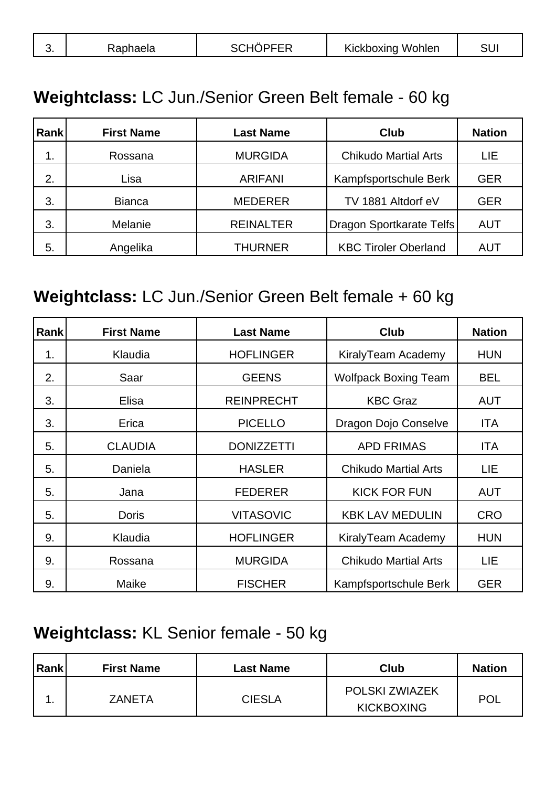| <b>Kickboxing Wohlen</b><br>SCHO<br>SU.<br>υ. |
|-----------------------------------------------|
|-----------------------------------------------|

#### **Weightclass:** LC Jun./Senior Green Belt female - 60 kg

| <b>Rank</b> | <b>First Name</b> | <b>Last Name</b> | <b>Club</b>                 | <b>Nation</b> |
|-------------|-------------------|------------------|-----------------------------|---------------|
| 1.          | Rossana           | <b>MURGIDA</b>   | <b>Chikudo Martial Arts</b> | LIE           |
| 2.          | Lisa              | <b>ARIFANI</b>   | Kampfsportschule Berk       | <b>GER</b>    |
| 3.          | <b>Bianca</b>     | <b>MEDERER</b>   | TV 1881 Altdorf eV          | <b>GER</b>    |
| 3.          | Melanie           | <b>REINALTER</b> | Dragon Sportkarate Telfs    | <b>AUT</b>    |
| 5.          | Angelika          | <b>THURNER</b>   | <b>KBC Tiroler Oberland</b> | AUT           |

#### **Weightclass:** LC Jun./Senior Green Belt female + 60 kg

| Rank | <b>First Name</b> | <b>Last Name</b>  | <b>Club</b>                 | <b>Nation</b> |
|------|-------------------|-------------------|-----------------------------|---------------|
| 1.   | Klaudia           | <b>HOFLINGER</b>  | KiralyTeam Academy          | <b>HUN</b>    |
| 2.   | Saar              | <b>GEENS</b>      | <b>Wolfpack Boxing Team</b> | <b>BEL</b>    |
| 3.   | Elisa             | <b>REINPRECHT</b> | <b>KBC Graz</b>             | <b>AUT</b>    |
| 3.   | Erica             | <b>PICELLO</b>    | Dragon Dojo Conselve        | ITA           |
| 5.   | <b>CLAUDIA</b>    | <b>DONIZZETTI</b> | <b>APD FRIMAS</b>           | ITA           |
| 5.   | Daniela           | <b>HASLER</b>     | <b>Chikudo Martial Arts</b> | LIE           |
| 5.   | Jana              | <b>FEDERER</b>    | <b>KICK FOR FUN</b>         | <b>AUT</b>    |
| 5.   | <b>Doris</b>      | <b>VITASOVIC</b>  | <b>KBK LAV MEDULIN</b>      | <b>CRO</b>    |
| 9.   | Klaudia           | <b>HOFLINGER</b>  | KiralyTeam Academy          | <b>HUN</b>    |
| 9.   | Rossana           | <b>MURGIDA</b>    | <b>Chikudo Martial Arts</b> | LIE           |
| 9.   | Maike             | <b>FISCHER</b>    | Kampfsportschule Berk       | <b>GER</b>    |

#### **Weightclass:** KL Senior female - 50 kg

| <b>Rank</b> | <b>First Name</b> | <b>Last Name</b> | Club                                       | <b>Nation</b> |
|-------------|-------------------|------------------|--------------------------------------------|---------------|
|             | <b>ZANETA</b>     | <b>CIESLA</b>    | <b>POLSKI ZWIAZEK</b><br><b>KICKBOXING</b> | <b>POL</b>    |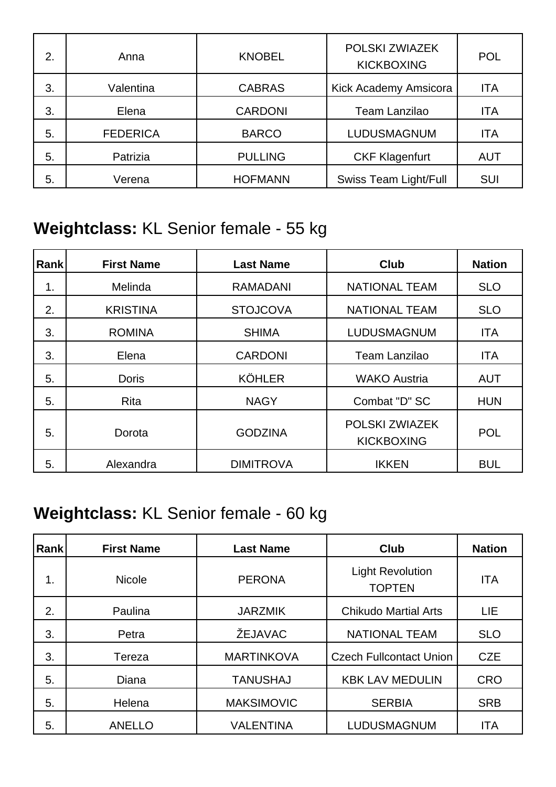| 2. | Anna            | <b>KNOBEL</b>  | POLSKI ZWIAZEK<br><b>KICKBOXING</b> | <b>POL</b> |
|----|-----------------|----------------|-------------------------------------|------------|
| 3. | Valentina       | <b>CABRAS</b>  | Kick Academy Amsicora               | <b>ITA</b> |
| 3. | Elena           | <b>CARDONI</b> | Team Lanzilao                       | <b>ITA</b> |
| 5. | <b>FEDERICA</b> | <b>BARCO</b>   | LUDUSMAGNUM                         | <b>ITA</b> |
| 5. | Patrizia        | <b>PULLING</b> | <b>CKF Klagenfurt</b>               | <b>AUT</b> |
| 5. | Verena          | <b>HOFMANN</b> | <b>Swiss Team Light/Full</b>        | SUI        |

### **Weightclass:** KL Senior female - 55 kg

| Rank | <b>First Name</b> | <b>Last Name</b> | Club                                | <b>Nation</b> |
|------|-------------------|------------------|-------------------------------------|---------------|
| 1.   | Melinda           | <b>RAMADANI</b>  | <b>NATIONAL TEAM</b>                | <b>SLO</b>    |
| 2.   | <b>KRISTINA</b>   | <b>STOJCOVA</b>  | <b>NATIONAL TEAM</b>                | <b>SLO</b>    |
| 3.   | <b>ROMINA</b>     | <b>SHIMA</b>     | LUDUSMAGNUM                         | <b>ITA</b>    |
| 3.   | Elena             | <b>CARDONI</b>   | Team Lanzilao                       | <b>ITA</b>    |
| 5.   | <b>Doris</b>      | <b>KÖHLER</b>    | <b>WAKO Austria</b>                 | <b>AUT</b>    |
| 5.   | Rita              | <b>NAGY</b>      | Combat "D" SC                       | <b>HUN</b>    |
| 5.   | Dorota            | <b>GODZINA</b>   | POLSKI ZWIAZEK<br><b>KICKBOXING</b> | <b>POL</b>    |
| 5.   | Alexandra         | <b>DIMITROVA</b> | <b>IKKEN</b>                        | <b>BUL</b>    |

### **Weightclass:** KL Senior female - 60 kg

| Rank | <b>First Name</b> | <b>Last Name</b>  | <b>Club</b>                              | <b>Nation</b> |
|------|-------------------|-------------------|------------------------------------------|---------------|
| 1.   | <b>Nicole</b>     | <b>PERONA</b>     | <b>Light Revolution</b><br><b>TOPTEN</b> | <b>ITA</b>    |
| 2.   | Paulina           | <b>JARZMIK</b>    | <b>Chikudo Martial Arts</b>              | LIE           |
| 3.   | Petra             | ŽEJAVAC           | <b>NATIONAL TEAM</b>                     | <b>SLO</b>    |
| 3.   | Tereza            | <b>MARTINKOVA</b> | <b>Czech Fullcontact Union</b>           | <b>CZE</b>    |
| 5.   | Diana             | <b>TANUSHAJ</b>   | <b>KBK LAV MEDULIN</b>                   | <b>CRO</b>    |
| 5.   | Helena            | <b>MAKSIMOVIC</b> | <b>SERBIA</b>                            | <b>SRB</b>    |
| 5.   | <b>ANELLO</b>     | <b>VALENTINA</b>  | LUDUSMAGNUM                              | <b>ITA</b>    |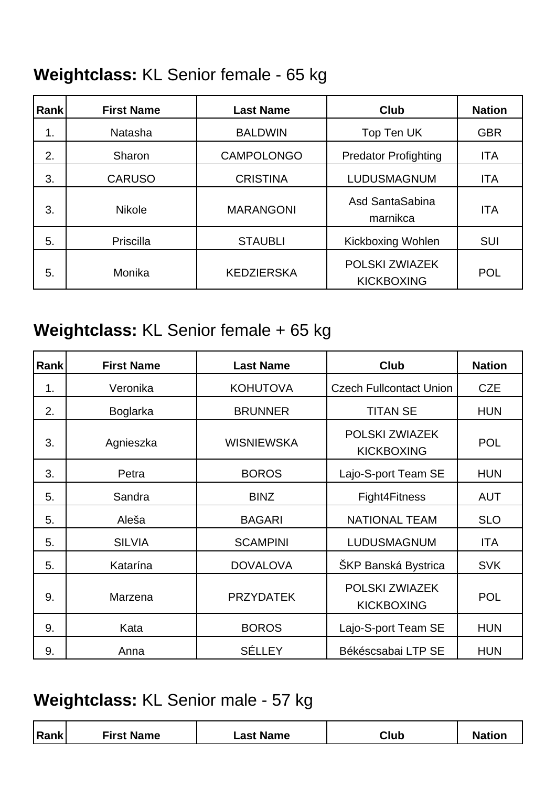### **Weightclass:** KL Senior female - 65 kg

| Rankl | <b>First Name</b> | <b>Last Name</b>  | Club                                | <b>Nation</b> |
|-------|-------------------|-------------------|-------------------------------------|---------------|
| 1.    | Natasha           | <b>BALDWIN</b>    | Top Ten UK                          | <b>GBR</b>    |
| 2.    | Sharon            | <b>CAMPOLONGO</b> | <b>Predator Profighting</b>         | <b>ITA</b>    |
| 3.    | <b>CARUSO</b>     | <b>CRISTINA</b>   | LUDUSMAGNUM                         | <b>ITA</b>    |
| 3.    | <b>Nikole</b>     | <b>MARANGONI</b>  | Asd SantaSabina<br>marnikca         | <b>ITA</b>    |
| 5.    | Priscilla         | <b>STAUBLI</b>    | <b>Kickboxing Wohlen</b>            | <b>SUI</b>    |
| 5.    | Monika            | <b>KEDZIERSKA</b> | POLSKI ZWIAZEK<br><b>KICKBOXING</b> | <b>POL</b>    |

#### **Weightclass:** KL Senior female + 65 kg

| Rank | <b>First Name</b> | <b>Last Name</b>  | Club                                | <b>Nation</b> |
|------|-------------------|-------------------|-------------------------------------|---------------|
| 1.   | Veronika          | <b>KOHUTOVA</b>   | <b>Czech Fullcontact Union</b>      | <b>CZE</b>    |
| 2.   | <b>Boglarka</b>   | <b>BRUNNER</b>    | <b>TITAN SE</b>                     | <b>HUN</b>    |
| 3.   | Agnieszka         | <b>WISNIEWSKA</b> | POLSKI ZWIAZEK<br><b>KICKBOXING</b> | <b>POL</b>    |
| 3.   | Petra             | <b>BOROS</b>      | Lajo-S-port Team SE                 | <b>HUN</b>    |
| 5.   | Sandra            | <b>BINZ</b>       | Fight4Fitness                       | <b>AUT</b>    |
| 5.   | Aleša             | <b>BAGARI</b>     | <b>NATIONAL TEAM</b>                | <b>SLO</b>    |
| 5.   | <b>SILVIA</b>     | <b>SCAMPINI</b>   | <b>LUDUSMAGNUM</b>                  | ITA           |
| 5.   | Katarína          | <b>DOVALOVA</b>   | <b>ŠKP Banská Bystrica</b>          | <b>SVK</b>    |
| 9.   | Marzena           | <b>PRZYDATEK</b>  | POLSKI ZWIAZEK<br><b>KICKBOXING</b> | <b>POL</b>    |
| 9.   | Kata              | <b>BOROS</b>      | Lajo-S-port Team SE                 | <b>HUN</b>    |
| 9.   | Anna              | <b>SÉLLEY</b>     | Békéscsabai LTP SE                  | <b>HUN</b>    |

### **Weightclass:** KL Senior male - 57 kg

|  | $D$ ank | <b>First Name</b> | <b>Name</b><br>_as† | Club | -45. |
|--|---------|-------------------|---------------------|------|------|
|--|---------|-------------------|---------------------|------|------|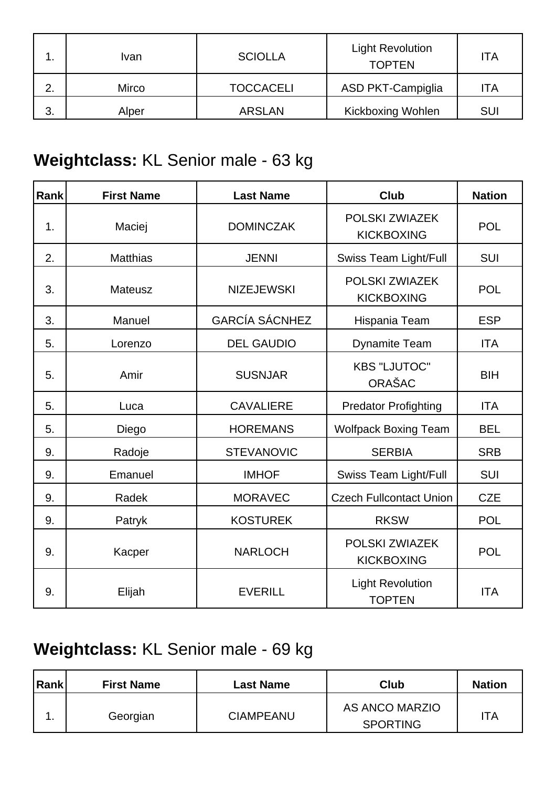|    | Ivan  | <b>SCIOLLA</b>   | <b>Light Revolution</b><br><b>TOPTEN</b> | ITA        |
|----|-------|------------------|------------------------------------------|------------|
| っ  | Mirco | <b>TOCCACELI</b> | <b>ASD PKT-Campiglia</b>                 | <b>TA</b>  |
| 3. | Alper | <b>ARSLAN</b>    | <b>Kickboxing Wohlen</b>                 | <b>SUI</b> |

# **Weightclass:** KL Senior male - 63 kg

| <b>Rank</b> | <b>First Name</b> | <b>Last Name</b>      | <b>Club</b>                              | <b>Nation</b> |
|-------------|-------------------|-----------------------|------------------------------------------|---------------|
| 1.          | Maciej            | <b>DOMINCZAK</b>      | POLSKI ZWIAZEK<br><b>KICKBOXING</b>      | <b>POL</b>    |
| 2.          | <b>Matthias</b>   | <b>JENNI</b>          | Swiss Team Light/Full                    | <b>SUI</b>    |
| 3.          | Mateusz           | <b>NIZEJEWSKI</b>     | POLSKI ZWIAZEK<br><b>KICKBOXING</b>      | <b>POL</b>    |
| 3.          | Manuel            | <b>GARCÍA SÁCNHEZ</b> | Hispania Team                            | <b>ESP</b>    |
| 5.          | Lorenzo           | <b>DEL GAUDIO</b>     | <b>Dynamite Team</b>                     | <b>ITA</b>    |
| 5.          | Amir              | <b>SUSNJAR</b>        | <b>KBS "LJUTOC"</b><br><b>ORAŠAC</b>     | <b>BIH</b>    |
| 5.          | Luca              | <b>CAVALIERE</b>      | <b>Predator Profighting</b>              | <b>ITA</b>    |
| 5.          | Diego             | <b>HOREMANS</b>       | <b>Wolfpack Boxing Team</b>              | <b>BEL</b>    |
| 9.          | Radoje            | <b>STEVANOVIC</b>     | <b>SERBIA</b>                            | <b>SRB</b>    |
| 9.          | Emanuel           | <b>IMHOF</b>          | Swiss Team Light/Full                    | SUI           |
| 9.          | Radek             | <b>MORAVEC</b>        | <b>Czech Fullcontact Union</b>           | <b>CZE</b>    |
| 9.          | Patryk            | <b>KOSTUREK</b>       | <b>RKSW</b>                              | <b>POL</b>    |
| 9.          | Kacper            | <b>NARLOCH</b>        | POLSKI ZWIAZEK<br><b>KICKBOXING</b>      | <b>POL</b>    |
| 9.          | Elijah            | <b>EVERILL</b>        | <b>Light Revolution</b><br><b>TOPTEN</b> | <b>ITA</b>    |

### **Weightclass:** KL Senior male - 69 kg

| Rank | <b>First Name</b> | <b>Last Name</b> | Club                              | <b>Nation</b> |
|------|-------------------|------------------|-----------------------------------|---------------|
|      | Georgian          | <b>CIAMPEANU</b> | AS ANCO MARZIO<br><b>SPORTING</b> | <b>TA</b>     |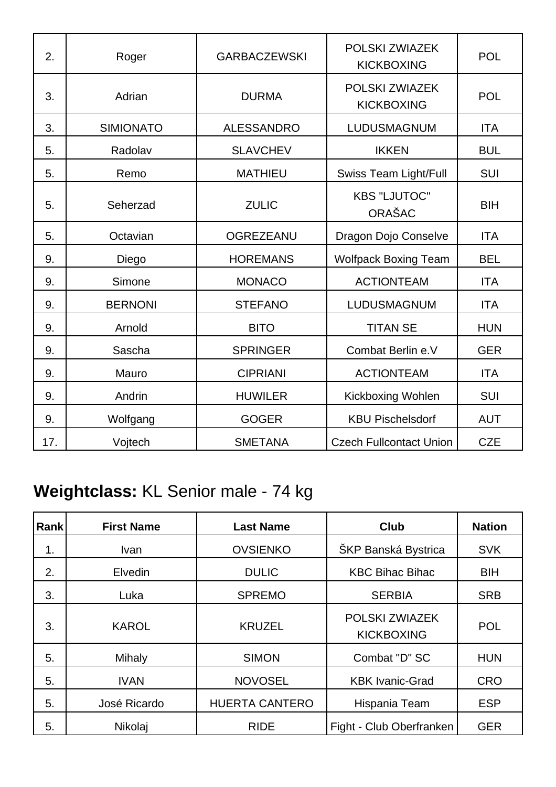| 2.  | Roger            | <b>GARBACZEWSKI</b> | POLSKI ZWIAZEK<br><b>KICKBOXING</b> | <b>POL</b> |
|-----|------------------|---------------------|-------------------------------------|------------|
| 3.  | Adrian           | <b>DURMA</b>        | POLSKI ZWIAZEK<br><b>KICKBOXING</b> | <b>POL</b> |
| 3.  | <b>SIMIONATO</b> | <b>ALESSANDRO</b>   | LUDUSMAGNUM                         | <b>ITA</b> |
| 5.  | Radolav          | <b>SLAVCHEV</b>     | <b>IKKEN</b>                        | <b>BUL</b> |
| 5.  | Remo             | <b>MATHIEU</b>      | Swiss Team Light/Full               | <b>SUI</b> |
| 5.  | Seherzad         | <b>ZULIC</b>        | <b>KBS "LJUTOC"</b><br>ORAŠAC       | <b>BIH</b> |
| 5.  | Octavian         | <b>OGREZEANU</b>    | Dragon Dojo Conselve                | <b>ITA</b> |
| 9.  | Diego            | <b>HOREMANS</b>     | <b>Wolfpack Boxing Team</b>         | <b>BEL</b> |
| 9.  | Simone           | <b>MONACO</b>       | <b>ACTIONTEAM</b>                   | <b>ITA</b> |
| 9.  | <b>BERNONI</b>   | <b>STEFANO</b>      | LUDUSMAGNUM                         | <b>ITA</b> |
| 9.  | Arnold           | <b>BITO</b>         | <b>TITAN SE</b>                     | <b>HUN</b> |
| 9.  | Sascha           | <b>SPRINGER</b>     | Combat Berlin e.V                   | <b>GER</b> |
| 9.  | Mauro            | <b>CIPRIANI</b>     | <b>ACTIONTEAM</b>                   | <b>ITA</b> |
| 9.  | Andrin           | <b>HUWILER</b>      | Kickboxing Wohlen                   | <b>SUI</b> |
| 9.  | Wolfgang         | <b>GOGER</b>        | <b>KBU Pischelsdorf</b>             | <b>AUT</b> |
| 17. | Vojtech          | <b>SMETANA</b>      | <b>Czech Fullcontact Union</b>      | <b>CZE</b> |

# **Weightclass:** KL Senior male - 74 kg

| Rank | <b>First Name</b> | <b>Last Name</b>      | Club                                | <b>Nation</b> |
|------|-------------------|-----------------------|-------------------------------------|---------------|
| 1.   | <b>Ivan</b>       | <b>OVSIENKO</b>       | ŠKP Banská Bystrica                 | <b>SVK</b>    |
| 2.   | Elvedin           | <b>DULIC</b>          | <b>KBC Bihac Bihac</b>              | <b>BIH</b>    |
| 3.   | Luka              | <b>SPREMO</b>         | <b>SERBIA</b>                       | <b>SRB</b>    |
| 3.   | <b>KAROL</b>      | <b>KRUZEL</b>         | POLSKI ZWIAZEK<br><b>KICKBOXING</b> | <b>POL</b>    |
| 5.   | Mihaly            | <b>SIMON</b>          | Combat "D" SC                       | <b>HUN</b>    |
| 5.   | <b>IVAN</b>       | <b>NOVOSEL</b>        | <b>KBK Ivanic-Grad</b>              | <b>CRO</b>    |
| 5.   | José Ricardo      | <b>HUERTA CANTERO</b> | Hispania Team                       | <b>ESP</b>    |
| 5.   | Nikolaj           | <b>RIDE</b>           | Fight - Club Oberfranken            | <b>GER</b>    |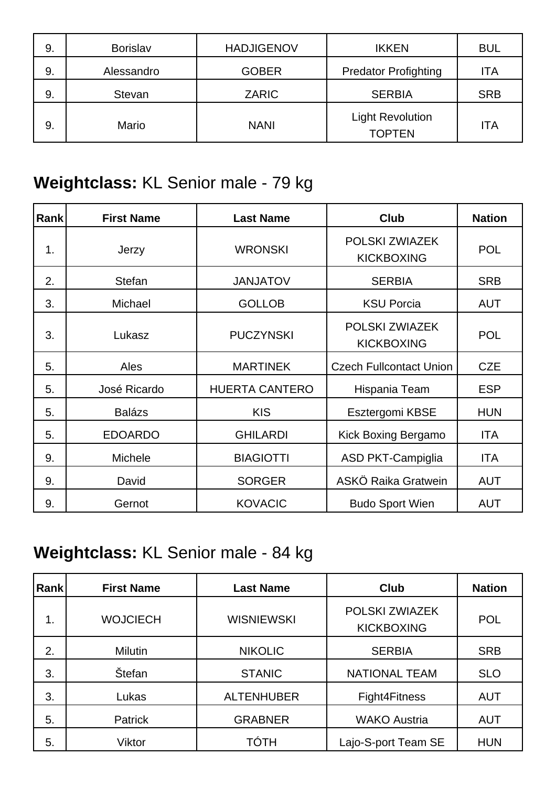| 9. | <b>Borislav</b> | <b>HADJIGENOV</b> | <b>IKKEN</b>                             | <b>BUL</b> |
|----|-----------------|-------------------|------------------------------------------|------------|
| 9. | Alessandro      | <b>GOBER</b>      | <b>Predator Profighting</b>              | ITA        |
| 9. | Stevan          | ZARIC             | <b>SERBIA</b>                            | <b>SRB</b> |
| 9. | Mario           | <b>NANI</b>       | <b>Light Revolution</b><br><b>TOPTEN</b> | <b>ITA</b> |

### **Weightclass:** KL Senior male - 79 kg

| Rank | <b>First Name</b> | <b>Last Name</b>      | <b>Club</b>                         | <b>Nation</b> |
|------|-------------------|-----------------------|-------------------------------------|---------------|
| 1.   | Jerzy             | <b>WRONSKI</b>        | POLSKI ZWIAZEK<br><b>KICKBOXING</b> | <b>POL</b>    |
| 2.   | <b>Stefan</b>     | <b>JANJATOV</b>       | <b>SERBIA</b>                       | <b>SRB</b>    |
| 3.   | Michael           | <b>GOLLOB</b>         | <b>KSU Porcia</b>                   | <b>AUT</b>    |
| 3.   | Lukasz            | <b>PUCZYNSKI</b>      | POLSKI ZWIAZEK<br><b>KICKBOXING</b> | <b>POL</b>    |
| 5.   | Ales              | <b>MARTINEK</b>       | <b>Czech Fullcontact Union</b>      | <b>CZE</b>    |
| 5.   | José Ricardo      | <b>HUERTA CANTERO</b> | Hispania Team                       | <b>ESP</b>    |
| 5.   | <b>Balázs</b>     | <b>KIS</b>            | Esztergomi KBSE                     | <b>HUN</b>    |
| 5.   | <b>EDOARDO</b>    | <b>GHILARDI</b>       | <b>Kick Boxing Bergamo</b>          | ITA           |
| 9.   | Michele           | <b>BIAGIOTTI</b>      | <b>ASD PKT-Campiglia</b>            | ITA           |
| 9.   | David             | <b>SORGER</b>         | ASKÖ Raika Gratwein                 | <b>AUT</b>    |
| 9.   | Gernot            | <b>KOVACIC</b>        | <b>Budo Sport Wien</b>              | <b>AUT</b>    |

### **Weightclass:** KL Senior male - 84 kg

| <b>Rank</b> | <b>First Name</b> | <b>Last Name</b>  | <b>Club</b>                         | <b>Nation</b> |
|-------------|-------------------|-------------------|-------------------------------------|---------------|
| 1.          | <b>WOJCIECH</b>   | <b>WISNIEWSKI</b> | POLSKI ZWIAZEK<br><b>KICKBOXING</b> | <b>POL</b>    |
| 2.          | <b>Milutin</b>    | <b>NIKOLIC</b>    | <b>SERBIA</b>                       | <b>SRB</b>    |
| 3.          | Štefan            | <b>STANIC</b>     | <b>NATIONAL TEAM</b>                | <b>SLO</b>    |
| 3.          | Lukas             | <b>ALTENHUBER</b> | Fight4Fitness                       | <b>AUT</b>    |
| 5.          | <b>Patrick</b>    | <b>GRABNER</b>    | <b>WAKO Austria</b>                 | <b>AUT</b>    |
| 5.          | Viktor            | TÓTH              | Lajo-S-port Team SE                 | <b>HUN</b>    |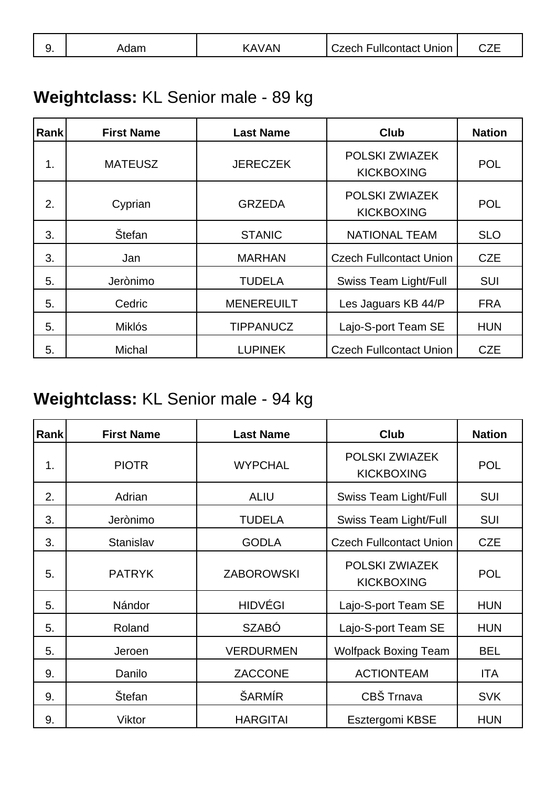| J. | .dam | <b>AVAN</b> | <b>Czech Fullcontact Union</b> | ---<br>◡▵∟ |
|----|------|-------------|--------------------------------|------------|
|----|------|-------------|--------------------------------|------------|

### **Weightclass:** KL Senior male - 89 kg

| <b>Rank</b> | <b>First Name</b> | <b>Last Name</b>  | <b>Club</b>                         | <b>Nation</b> |
|-------------|-------------------|-------------------|-------------------------------------|---------------|
| 1.          | <b>MATEUSZ</b>    | <b>JERECZEK</b>   | POLSKI ZWIAZEK<br><b>KICKBOXING</b> | <b>POL</b>    |
| 2.          | Cyprian           | <b>GRZEDA</b>     | POLSKI ZWIAZEK<br><b>KICKBOXING</b> | <b>POL</b>    |
| 3.          | Štefan            | <b>STANIC</b>     | <b>NATIONAL TEAM</b>                | <b>SLO</b>    |
| 3.          | Jan               | <b>MARHAN</b>     | <b>Czech Fullcontact Union</b>      | <b>CZE</b>    |
| 5.          | Jerònimo          | <b>TUDELA</b>     | <b>Swiss Team Light/Full</b>        | <b>SUI</b>    |
| 5.          | Cedric            | <b>MENEREUILT</b> | Les Jaguars KB 44/P                 | <b>FRA</b>    |
| 5.          | <b>Miklós</b>     | <b>TIPPANUCZ</b>  | Lajo-S-port Team SE                 | <b>HUN</b>    |
| 5.          | <b>Michal</b>     | <b>LUPINEK</b>    | <b>Czech Fullcontact Union</b>      | <b>CZE</b>    |

### **Weightclass:** KL Senior male - 94 kg

| Rank | <b>First Name</b> | <b>Last Name</b>  | <b>Club</b>                         | <b>Nation</b> |
|------|-------------------|-------------------|-------------------------------------|---------------|
| 1.   | <b>PIOTR</b>      | <b>WYPCHAL</b>    | POLSKI ZWIAZEK<br><b>KICKBOXING</b> | <b>POL</b>    |
| 2.   | Adrian            | <b>ALIU</b>       | <b>Swiss Team Light/Full</b>        | <b>SUI</b>    |
| 3.   | Jerònimo          | <b>TUDELA</b>     | <b>Swiss Team Light/Full</b>        | <b>SUI</b>    |
| 3.   | Stanislav         | <b>GODLA</b>      | <b>Czech Fullcontact Union</b>      | <b>CZE</b>    |
| 5.   | <b>PATRYK</b>     | <b>ZABOROWSKI</b> | POLSKI ZWIAZEK<br><b>KICKBOXING</b> | <b>POL</b>    |
| 5.   | Nándor            | <b>HIDVÉGI</b>    | Lajo-S-port Team SE                 | <b>HUN</b>    |
| 5.   | Roland            | <b>SZABÓ</b>      | Lajo-S-port Team SE                 | <b>HUN</b>    |
| 5.   | Jeroen            | <b>VERDURMEN</b>  | <b>Wolfpack Boxing Team</b>         | <b>BEL</b>    |
| 9.   | Danilo            | ZACCONE           | <b>ACTIONTEAM</b>                   | <b>ITA</b>    |
| 9.   | <b>Štefan</b>     | ŠARMÍR            | CBŠ Trnava                          | <b>SVK</b>    |
| 9.   | Viktor            | <b>HARGITAI</b>   | Esztergomi KBSE                     | <b>HUN</b>    |